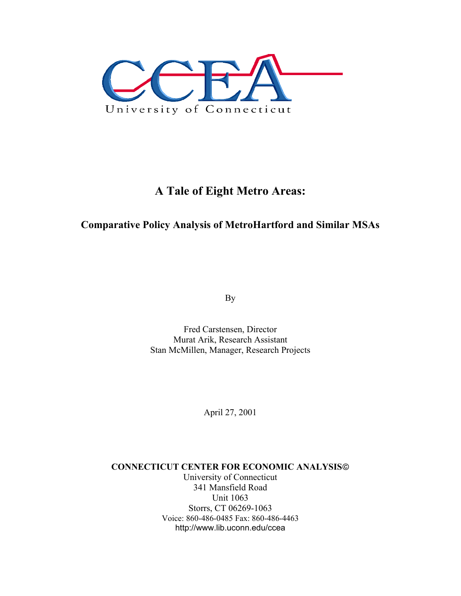

# **A Tale of Eight Metro Areas:**

# **Comparative Policy Analysis of MetroHartford and Similar MSAs**

By

Fred Carstensen, Director Murat Arik, Research Assistant Stan McMillen, Manager, Research Projects

April 27, 2001

**CONNECTICUT CENTER FOR ECONOMIC ANALYSIS** University of Connecticut 341 Mansfield Road Unit 1063 Storrs, CT 06269-1063 Voice: 860-486-0485 Fax: 860-486-4463 http://www.lib.uconn.edu/ccea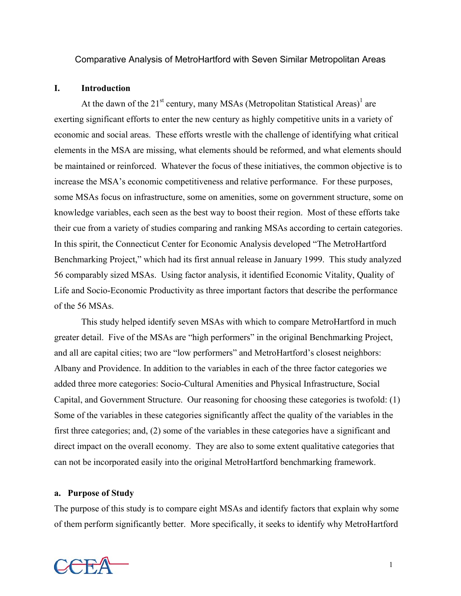Comparative Analysis of MetroHartford with Seven Similar Metropolitan Areas

### **I. Introduction**

At the dawn of the  $21^{st}$  century, many MSAs (Metropolitan Statistical Areas)<sup>1</sup> are exerting significant efforts to enter the new century as highly competitive units in a variety of economic and social areas. These efforts wrestle with the challenge of identifying what critical elements in the MSA are missing, what elements should be reformed, and what elements should be maintained or reinforced. Whatever the focus of these initiatives, the common objective is to increase the MSA's economic competitiveness and relative performance. For these purposes, some MSAs focus on infrastructure, some on amenities, some on government structure, some on knowledge variables, each seen as the best way to boost their region. Most of these efforts take their cue from a variety of studies comparing and ranking MSAs according to certain categories. In this spirit, the Connecticut Center for Economic Analysis developed "The MetroHartford Benchmarking Project," which had its first annual release in January 1999. This study analyzed 56 comparably sized MSAs. Using factor analysis, it identified Economic Vitality, Quality of Life and Socio-Economic Productivity as three important factors that describe the performance of the 56 MSAs.

This study helped identify seven MSAs with which to compare MetroHartford in much greater detail. Five of the MSAs are "high performers" in the original Benchmarking Project, and all are capital cities; two are "low performers" and MetroHartford's closest neighbors: Albany and Providence. In addition to the variables in each of the three factor categories we added three more categories: Socio-Cultural Amenities and Physical Infrastructure, Social Capital, and Government Structure. Our reasoning for choosing these categories is twofold: (1) Some of the variables in these categories significantly affect the quality of the variables in the first three categories; and, (2) some of the variables in these categories have a significant and direct impact on the overall economy. They are also to some extent qualitative categories that can not be incorporated easily into the original MetroHartford benchmarking framework.

### **a. Purpose of Study**

The purpose of this study is to compare eight MSAs and identify factors that explain why some of them perform significantly better. More specifically, it seeks to identify why MetroHartford

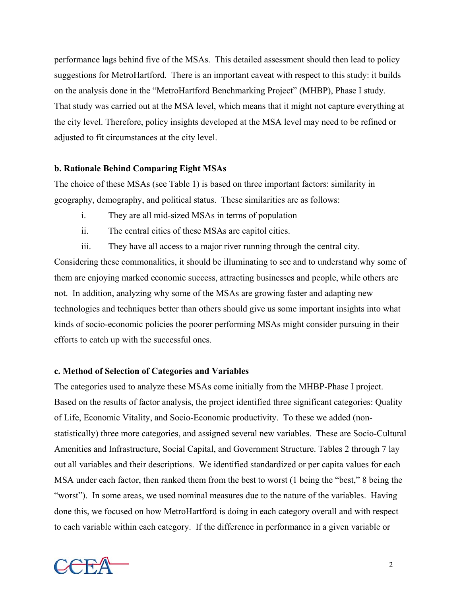performance lags behind five of the MSAs. This detailed assessment should then lead to policy suggestions for MetroHartford. There is an important caveat with respect to this study: it builds on the analysis done in the "MetroHartford Benchmarking Project" (MHBP), Phase I study. That study was carried out at the MSA level, which means that it might not capture everything at the city level. Therefore, policy insights developed at the MSA level may need to be refined or adjusted to fit circumstances at the city level.

# **b. Rationale Behind Comparing Eight MSAs**

The choice of these MSAs (see Table 1) is based on three important factors: similarity in geography, demography, and political status. These similarities are as follows:

- i. They are all mid-sized MSAs in terms of population
- ii. The central cities of these MSAs are capitol cities.
- iii. They have all access to a major river running through the central city.

Considering these commonalities, it should be illuminating to see and to understand why some of them are enjoying marked economic success, attracting businesses and people, while others are not. In addition, analyzing why some of the MSAs are growing faster and adapting new technologies and techniques better than others should give us some important insights into what kinds of socio-economic policies the poorer performing MSAs might consider pursuing in their efforts to catch up with the successful ones.

# **c. Method of Selection of Categories and Variables**

The categories used to analyze these MSAs come initially from the MHBP-Phase I project. Based on the results of factor analysis, the project identified three significant categories: Quality of Life, Economic Vitality, and Socio-Economic productivity. To these we added (nonstatistically) three more categories, and assigned several new variables. These are Socio-Cultural Amenities and Infrastructure, Social Capital, and Government Structure. Tables 2 through 7 lay out all variables and their descriptions. We identified standardized or per capita values for each MSA under each factor, then ranked them from the best to worst (1 being the "best," 8 being the "worst"). In some areas, we used nominal measures due to the nature of the variables. Having done this, we focused on how MetroHartford is doing in each category overall and with respect to each variable within each category. If the difference in performance in a given variable or

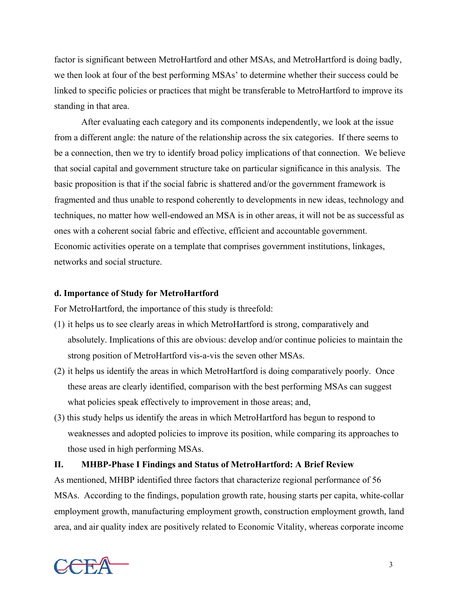factor is significant between MetroHartford and other MSAs, and MetroHartford is doing badly, we then look at four of the best performing MSAs' to determine whether their success could be linked to specific policies or practices that might be transferable to MetroHartford to improve its standing in that area.

After evaluating each category and its components independently, we look at the issue from a different angle: the nature of the relationship across the six categories. If there seems to be a connection, then we try to identify broad policy implications of that connection. We believe that social capital and government structure take on particular significance in this analysis. The basic proposition is that if the social fabric is shattered and/or the government framework is fragmented and thus unable to respond coherently to developments in new ideas, technology and techniques, no matter how well-endowed an MSA is in other areas, it will not be as successful as ones with a coherent social fabric and effective, efficient and accountable government. Economic activities operate on a template that comprises government institutions, linkages, networks and social structure.

# **d. Importance of Study for MetroHartford**

For MetroHartford, the importance of this study is threefold:

- (1) it helps us to see clearly areas in which MetroHartford is strong, comparatively and absolutely. Implications of this are obvious: develop and/or continue policies to maintain the strong position of MetroHartford vis-a-vis the seven other MSAs.
- (2) it helps us identify the areas in which MetroHartford is doing comparatively poorly. Once these areas are clearly identified, comparison with the best performing MSAs can suggest what policies speak effectively to improvement in those areas; and,
- (3) this study helps us identify the areas in which MetroHartford has begun to respond to weaknesses and adopted policies to improve its position, while comparing its approaches to those used in high performing MSAs.

# **II. MHBP-Phase I Findings and Status of MetroHartford: A Brief Review**

As mentioned, MHBP identified three factors that characterize regional performance of 56 MSAs. According to the findings, population growth rate, housing starts per capita, white-collar employment growth, manufacturing employment growth, construction employment growth, land area, and air quality index are positively related to Economic Vitality, whereas corporate income

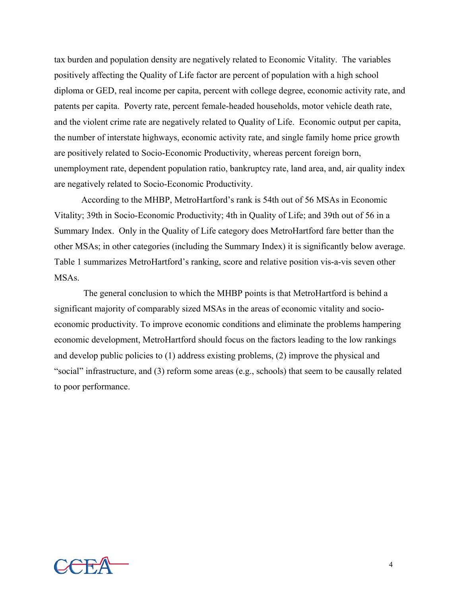tax burden and population density are negatively related to Economic Vitality. The variables positively affecting the Quality of Life factor are percent of population with a high school diploma or GED, real income per capita, percent with college degree, economic activity rate, and patents per capita. Poverty rate, percent female-headed households, motor vehicle death rate, and the violent crime rate are negatively related to Quality of Life. Economic output per capita, the number of interstate highways, economic activity rate, and single family home price growth are positively related to Socio-Economic Productivity, whereas percent foreign born, unemployment rate, dependent population ratio, bankruptcy rate, land area, and, air quality index are negatively related to Socio-Economic Productivity.

According to the MHBP, MetroHartford's rank is 54th out of 56 MSAs in Economic Vitality; 39th in Socio-Economic Productivity; 4th in Quality of Life; and 39th out of 56 in a Summary Index. Only in the Quality of Life category does MetroHartford fare better than the other MSAs; in other categories (including the Summary Index) it is significantly below average. Table 1 summarizes MetroHartford's ranking, score and relative position vis-a-vis seven other MSAs.

 The general conclusion to which the MHBP points is that MetroHartford is behind a significant majority of comparably sized MSAs in the areas of economic vitality and socioeconomic productivity. To improve economic conditions and eliminate the problems hampering economic development, MetroHartford should focus on the factors leading to the low rankings and develop public policies to (1) address existing problems, (2) improve the physical and "social" infrastructure, and (3) reform some areas (e.g., schools) that seem to be causally related to poor performance.

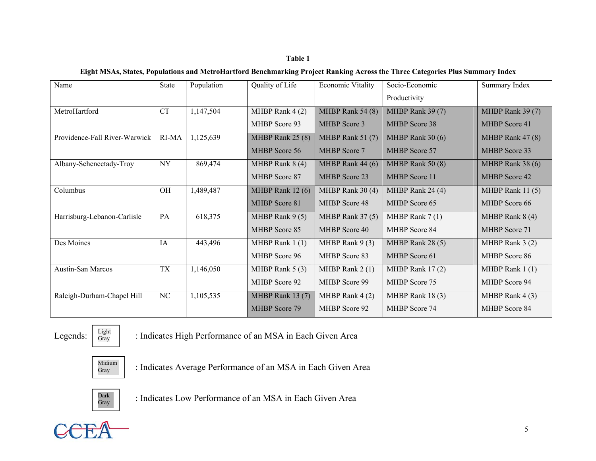# **Table 1**

### **Eight MSAs, States, Populations and MetroHartford Benchmarking Project Ranking Across the Three Categories Plus Summary Index**

| Name                          | State     | Population | Quality of Life      | <b>Economic Vitality</b> | Socio-Economic<br>Productivity | Summary Index        |
|-------------------------------|-----------|------------|----------------------|--------------------------|--------------------------------|----------------------|
| MetroHartford                 | <b>CT</b> | 1,147,504  | MHBP Rank $4(2)$     | MHBP Rank 54 (8)         | MHBP Rank 39 (7)               | MHBP Rank 39 (7)     |
|                               |           |            |                      |                          |                                |                      |
|                               |           |            | MHBP Score 93        | <b>MHBP</b> Score 3      | <b>MHBP</b> Score 38           | MHBP Score 41        |
| Providence-Fall River-Warwick | RI-MA     | 1,125,639  | MHBP Rank 25 (8)     | MHBP Rank 51 (7)         | MHBP Rank 30 (6)               | MHBP Rank $47(8)$    |
|                               |           |            | <b>MHBP</b> Score 56 | <b>MHBP</b> Score 7      | <b>MHBP</b> Score 57           | MHBP Score 33        |
| Albany-Schenectady-Troy       | <b>NY</b> | 869,474    | MHBP Rank $8(4)$     | MHBP Rank 44 (6)         | MHBP Rank 50 (8)               | MHBP Rank 38 (6)     |
|                               |           |            | MHBP Score 87        | <b>MHBP</b> Score 23     | <b>MHBP</b> Score 11           | <b>MHBP</b> Score 42 |
| Columbus                      | OH        | 1,489,487  | MHBP Rank $12(6)$    | MHBP Rank 30(4)          | MHBP Rank 24 (4)               | MHBP Rank $11(5)$    |
|                               |           |            | MHBP Score 81        | <b>MHBP</b> Score 48     | <b>MHBP</b> Score 65           | MHBP Score 66        |
| Harrisburg-Lebanon-Carlisle   | PA        | 618,375    | MHBP Rank $9(5)$     | MHBP Rank $37(5)$        | MHBP Rank $7(1)$               | MHBP Rank $8(4)$     |
|                               |           |            | <b>MHBP</b> Score 85 | MHBP Score 40            | MHBP Score 84                  | MHBP Score 71        |
| Des Moines                    | IA        | 443,496    | MHBP Rank $1(1)$     | MHBP Rank $9(3)$         | MHBP Rank 28 (5)               | MHBP Rank $3(2)$     |
|                               |           |            | MHBP Score 96        | MHBP Score 83            | MHBP Score 61                  | MHBP Score 86        |
| Austin-San Marcos             | <b>TX</b> | 1,146,050  | MHBP Rank $5(3)$     | MHBP Rank $2(1)$         | MHBP Rank 17(2)                | MHBP Rank $1(1)$     |
|                               |           |            | MHBP Score 92        | MHBP Score 99            | MHBP Score 75                  | MHBP Score 94        |
| Raleigh-Durham-Chapel Hill    | NC        | 1,105,535  | MHBP Rank 13 (7)     | MHBP Rank $4(2)$         | MHBP Rank 18(3)                | MHBP Rank $4(3)$     |
|                               |           |            | <b>MHBP</b> Score 79 | MHBP Score 92            | MHBP Score 74                  | MHBP Score 84        |

Legends:  $\begin{array}{c|c} \text{Light} \\ \text{Gray} \end{array}$  : Indicates High Performance of an MSA in Each Given Area



 $G_{\text{Gray}}$  : Indicates Average Performance of an MSA in Each Given Area



 $\mathbb{G}_{\text{Gray}}$  : Indicates Low Performance of an MSA in Each Given Area

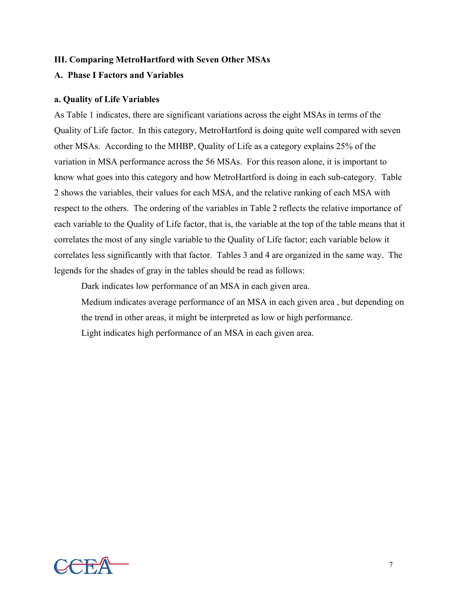# **III. Comparing MetroHartford with Seven Other MSAs**

# **A. Phase I Factors and Variables**

### **a. Quality of Life Variables**

As Table 1 indicates, there are significant variations across the eight MSAs in terms of the Quality of Life factor. In this category, MetroHartford is doing quite well compared with seven other MSAs. According to the MHBP, Quality of Life as a category explains 25% of the variation in MSA performance across the 56 MSAs. For this reason alone, it is important to know what goes into this category and how MetroHartford is doing in each sub-category. Table 2 shows the variables, their values for each MSA, and the relative ranking of each MSA with respect to the others. The ordering of the variables in Table 2 reflects the relative importance of each variable to the Quality of Life factor, that is, the variable at the top of the table means that it correlates the most of any single variable to the Quality of Life factor; each variable below it correlates less significantly with that factor. Tables 3 and 4 are organized in the same way. The legends for the shades of gray in the tables should be read as follows:

Dark indicates low performance of an MSA in each given area.

Medium indicates average performance of an MSA in each given area , but depending on the trend in other areas, it might be interpreted as low or high performance. Light indicates high performance of an MSA in each given area.

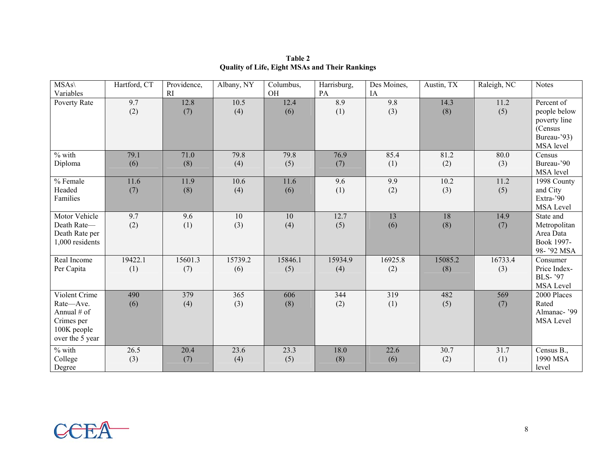| $MSAs\wedge$<br>Variables                                                                 | Hartford, CT   | Providence,<br>RI | Albany, NY     | Columbus,<br>OH        | Harrisburg,<br>PA | Des Moines,<br>IA | Austin, TX     | Raleigh, NC    | <b>Notes</b>                                                                      |
|-------------------------------------------------------------------------------------------|----------------|-------------------|----------------|------------------------|-------------------|-------------------|----------------|----------------|-----------------------------------------------------------------------------------|
| Poverty Rate                                                                              | 9.7<br>(2)     | 12.8<br>(7)       | 10.5<br>(4)    | 12.4<br>(6)            | 8.9<br>(1)        | 9.8<br>(3)        | 14.3<br>(8)    | 11.2<br>(5)    | Percent of<br>people below<br>poverty line<br>(Census<br>Bureau-'93)<br>MSA level |
| $%$ with<br>Diploma                                                                       | 79.1<br>(6)    | 71.0<br>(8)       | 79.8<br>(4)    | 79.8<br>(5)            | 76.9<br>(7)       | 85.4<br>(1)       | 81.2<br>(2)    | 80.0<br>(3)    | Census<br>Bureau-'90<br>MSA level                                                 |
| % Female<br>Headed<br>Families                                                            | 11.6<br>(7)    | 11.9<br>(8)       | 10.6<br>(4)    | 11.6<br>(6)            | 9.6<br>(1)        | 9.9<br>(2)        | 10.2<br>(3)    | 11.2<br>(5)    | 1998 County<br>and City<br>Extra-'90<br>MSA Level                                 |
| Motor Vehicle<br>Death Rate-<br>Death Rate per<br>1,000 residents                         | 9.7<br>(2)     | 9.6<br>(1)        | 10<br>(3)      | $\overline{10}$<br>(4) | 12.7<br>(5)       | 13<br>(6)         | 18<br>(8)      | 14.9<br>(7)    | State and<br>Metropolitan<br>Area Data<br>Book 1997-<br>98-'92 MSA                |
| Real Income<br>Per Capita                                                                 | 19422.1<br>(1) | 15601.3<br>(7)    | 15739.2<br>(6) | 15846.1<br>(5)         | 15934.9<br>(4)    | 16925.8<br>(2)    | 15085.2<br>(8) | 16733.4<br>(3) | Consumer<br>Price Index-<br>BLS-'97<br><b>MSA Level</b>                           |
| Violent Crime<br>Rate-Ave.<br>Annual # of<br>Crimes per<br>100K people<br>over the 5 year | 490<br>(6)     | 379<br>(4)        | 365<br>(3)     | 606<br>(8)             | 344<br>(2)        | 319<br>(1)        | 482<br>(5)     | 569<br>(7)     | 2000 Places<br>Rated<br>Almanac-'99<br><b>MSA</b> Level                           |
| $%$ with<br>College<br>Degree                                                             | 26.5<br>(3)    | 20.4<br>(7)       | 23.6<br>(4)    | 23.3<br>(5)            | 18.0<br>(8)       | 22.6<br>(6)       | 30.7<br>(2)    | 31.7<br>(1)    | Census B.,<br>1990 MSA<br>level                                                   |

**Table 2Quality of Life, Eight MSAs and Their Rankings** 

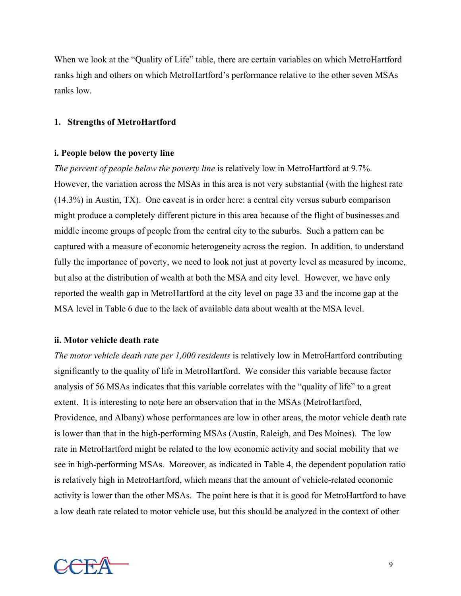When we look at the "Quality of Life" table, there are certain variables on which MetroHartford ranks high and others on which MetroHartford's performance relative to the other seven MSAs ranks low.

# **1. Strengths of MetroHartford**

# **i. People below the poverty line**

*The percent of people below the poverty line* is relatively low in MetroHartford at 9.7%. However, the variation across the MSAs in this area is not very substantial (with the highest rate (14.3%) in Austin, TX). One caveat is in order here: a central city versus suburb comparison might produce a completely different picture in this area because of the flight of businesses and middle income groups of people from the central city to the suburbs. Such a pattern can be captured with a measure of economic heterogeneity across the region. In addition, to understand fully the importance of poverty, we need to look not just at poverty level as measured by income, but also at the distribution of wealth at both the MSA and city level. However, we have only reported the wealth gap in MetroHartford at the city level on page 33 and the income gap at the MSA level in Table 6 due to the lack of available data about wealth at the MSA level.

# **ii. Motor vehicle death rate**

*The motor vehicle death rate per 1,000 residents* is relatively low in MetroHartford contributing significantly to the quality of life in MetroHartford. We consider this variable because factor analysis of 56 MSAs indicates that this variable correlates with the "quality of life" to a great extent. It is interesting to note here an observation that in the MSAs (MetroHartford, Providence, and Albany) whose performances are low in other areas, the motor vehicle death rate is lower than that in the high-performing MSAs (Austin, Raleigh, and Des Moines). The low rate in MetroHartford might be related to the low economic activity and social mobility that we see in high-performing MSAs. Moreover, as indicated in Table 4, the dependent population ratio is relatively high in MetroHartford, which means that the amount of vehicle-related economic activity is lower than the other MSAs. The point here is that it is good for MetroHartford to have a low death rate related to motor vehicle use, but this should be analyzed in the context of other

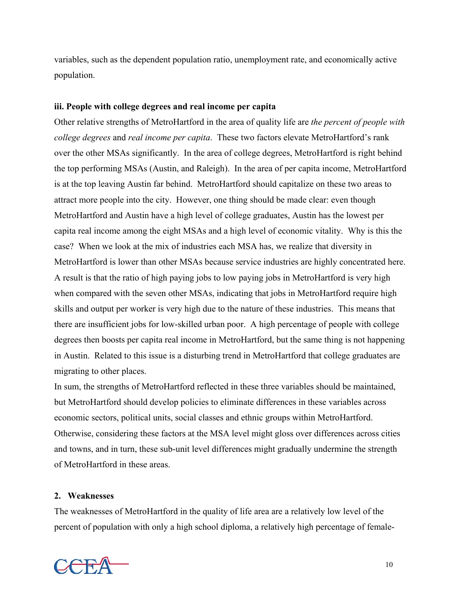variables, such as the dependent population ratio, unemployment rate, and economically active population.

# **iii. People with college degrees and real income per capita**

Other relative strengths of MetroHartford in the area of quality life are *the percent of people with college degrees* and *real income per capita*. These two factors elevate MetroHartford's rank over the other MSAs significantly. In the area of college degrees, MetroHartford is right behind the top performing MSAs (Austin, and Raleigh). In the area of per capita income, MetroHartford is at the top leaving Austin far behind. MetroHartford should capitalize on these two areas to attract more people into the city. However, one thing should be made clear: even though MetroHartford and Austin have a high level of college graduates, Austin has the lowest per capita real income among the eight MSAs and a high level of economic vitality. Why is this the case? When we look at the mix of industries each MSA has, we realize that diversity in MetroHartford is lower than other MSAs because service industries are highly concentrated here. A result is that the ratio of high paying jobs to low paying jobs in MetroHartford is very high when compared with the seven other MSAs, indicating that jobs in MetroHartford require high skills and output per worker is very high due to the nature of these industries. This means that there are insufficient jobs for low-skilled urban poor. A high percentage of people with college degrees then boosts per capita real income in MetroHartford, but the same thing is not happening in Austin. Related to this issue is a disturbing trend in MetroHartford that college graduates are migrating to other places.

In sum, the strengths of MetroHartford reflected in these three variables should be maintained, but MetroHartford should develop policies to eliminate differences in these variables across economic sectors, political units, social classes and ethnic groups within MetroHartford. Otherwise, considering these factors at the MSA level might gloss over differences across cities and towns, and in turn, these sub-unit level differences might gradually undermine the strength of MetroHartford in these areas.

# **2. Weaknesses**

The weaknesses of MetroHartford in the quality of life area are a relatively low level of the percent of population with only a high school diploma, a relatively high percentage of female-

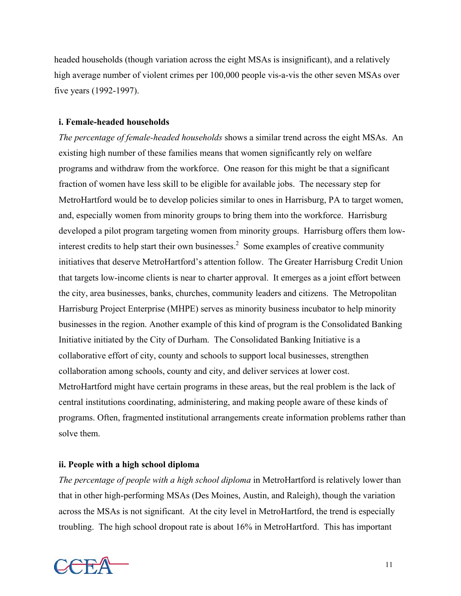headed households (though variation across the eight MSAs is insignificant), and a relatively high average number of violent crimes per 100,000 people vis-a-vis the other seven MSAs over five years (1992-1997).

# **i. Female-headed households**

*The percentage of female-headed households* shows a similar trend across the eight MSAs. An existing high number of these families means that women significantly rely on welfare programs and withdraw from the workforce. One reason for this might be that a significant fraction of women have less skill to be eligible for available jobs. The necessary step for MetroHartford would be to develop policies similar to ones in Harrisburg, PA to target women, and, especially women from minority groups to bring them into the workforce. Harrisburg developed a pilot program targeting women from minority groups. Harrisburg offers them lowinterest credits to help start their own businesses. [2](#page-44-1) Some examples of creative community initiatives that deserve MetroHartford's attention follow. The Greater Harrisburg Credit Union that targets low-income clients is near to charter approval. It emerges as a joint effort between the city, area businesses, banks, churches, community leaders and citizens. The Metropolitan Harrisburg Project Enterprise (MHPE) serves as minority business incubator to help minority businesses in the region. Another example of this kind of program is the Consolidated Banking Initiative initiated by the City of Durham. The Consolidated Banking Initiative is a collaborative effort of city, county and schools to support local businesses, strengthen collaboration among schools, county and city, and deliver services at lower cost. MetroHartford might have certain programs in these areas, but the real problem is the lack of central institutions coordinating, administering, and making people aware of these kinds of programs. Often, fragmented institutional arrangements create information problems rather than solve them.

# **ii. People with a high school diploma**

*The percentage of people with a high school diploma* in MetroHartford is relatively lower than that in other high-performing MSAs (Des Moines, Austin, and Raleigh), though the variation across the MSAs is not significant. At the city level in MetroHartford, the trend is especially troubling. The high school dropout rate is about 16% in MetroHartford. This has important

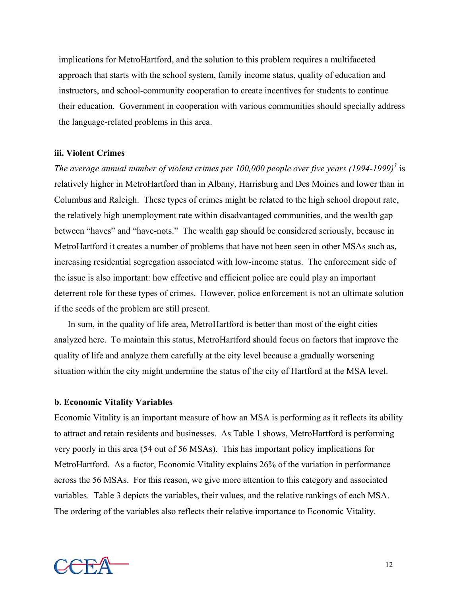implications for MetroHartford, and the solution to this problem requires a multifaceted approach that starts with the school system, family income status, quality of education and instructors, and school-community cooperation to create incentives for students to continue their education. Government in cooperation with various communities should specially address the language-related problems in this area.

### **iii. Violent Crimes**

*The average annual number of violent crimes per 100,000 people over five years (1994-1999)[3](#page-44-2)* is relatively higher in MetroHartford than in Albany, Harrisburg and Des Moines and lower than in Columbus and Raleigh. These types of crimes might be related to the high school dropout rate, the relatively high unemployment rate within disadvantaged communities, and the wealth gap between "haves" and "have-nots." The wealth gap should be considered seriously, because in MetroHartford it creates a number of problems that have not been seen in other MSAs such as, increasing residential segregation associated with low-income status. The enforcement side of the issue is also important: how effective and efficient police are could play an important deterrent role for these types of crimes. However, police enforcement is not an ultimate solution if the seeds of the problem are still present.

In sum, in the quality of life area, MetroHartford is better than most of the eight cities analyzed here. To maintain this status, MetroHartford should focus on factors that improve the quality of life and analyze them carefully at the city level because a gradually worsening situation within the city might undermine the status of the city of Hartford at the MSA level.

# **b. Economic Vitality Variables**

Economic Vitality is an important measure of how an MSA is performing as it reflects its ability to attract and retain residents and businesses. As Table 1 shows, MetroHartford is performing very poorly in this area (54 out of 56 MSAs). This has important policy implications for MetroHartford. As a factor, Economic Vitality explains 26% of the variation in performance across the 56 MSAs. For this reason, we give more attention to this category and associated variables. Table 3 depicts the variables, their values, and the relative rankings of each MSA. The ordering of the variables also reflects their relative importance to Economic Vitality.

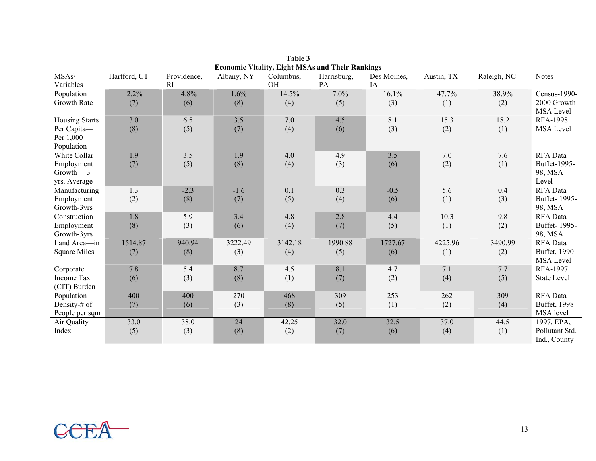| $MSAs\$               | Hartford, CT | Providence, | Albany, NY | Columbus, | Harrisburg, | Des Moines, | Austin, TX | Raleigh, NC | <b>Notes</b>       |
|-----------------------|--------------|-------------|------------|-----------|-------------|-------------|------------|-------------|--------------------|
| Variables             |              | RI          |            | OH        | PA          | IA          |            |             |                    |
| Population            | 2.2%         | 4.8%        | 1.6%       | 14.5%     | 7.0%        | 16.1%       | 47.7%      | 38.9%       | Census-1990-       |
| Growth Rate           | (7)          | (6)         | (8)        | (4)       | (5)         | (3)         | (1)        | (2)         | 2000 Growth        |
|                       |              |             |            |           |             |             |            |             | MSA Level          |
| <b>Housing Starts</b> | 3.0          | 6.5         | 3.5        | 7.0       | 4.5         | 8.1         | 15.3       | 18.2        | <b>RFA-1998</b>    |
| Per Capita-           | (8)          | (5)         | (7)        | (4)       | (6)         | (3)         | (2)        | (1)         | <b>MSA</b> Level   |
| Per 1,000             |              |             |            |           |             |             |            |             |                    |
| Population            |              |             |            |           |             |             |            |             |                    |
| White Collar          | 1.9          | 3.5         | 1.9        | 4.0       | 4.9         | 3.5         | 7.0        | 7.6         | RFA Data           |
| Employment            | (7)          | (5)         | (8)        | (4)       | (3)         | (6)         | (2)        | (1)         | Buffet-1995-       |
| Growth $-3$           |              |             |            |           |             |             |            |             | 98, MSA            |
| yrs. Average          |              |             |            |           |             |             |            |             | Level              |
| Manufacturing         | 1.3          | $-2.3$      | $-1.6$     | 0.1       | 0.3         | $-0.5$      | 5.6        | 0.4         | RFA Data           |
| Employment            | (2)          | (8)         | (7)        | (5)       | (4)         | (6)         | (1)        | (3)         | Buffet-1995-       |
| Growth-3yrs           |              |             |            |           |             |             |            |             | 98, MSA            |
| Construction          | 1.8          | 5.9         | 3.4        | 4.8       | 2.8         | 4.4         | 10.3       | 9.8         | RFA Data           |
| Employment            | (8)          | (3)         | (6)        | (4)       | (7)         | (5)         | (1)        | (2)         | Buffet-1995-       |
| Growth-3yrs           |              |             |            |           |             |             |            |             | 98, MSA            |
| Land Area-in          | 1514.87      | 940.94      | 3222.49    | 3142.18   | 1990.88     | 1727.67     | 4225.96    | 3490.99     | RFA Data           |
| <b>Square Miles</b>   | (7)          | (8)         | (3)        | (4)       | (5)         | (6)         | (1)        | (2)         | Buffet, 1990       |
|                       |              |             |            |           |             |             |            |             | <b>MSA Level</b>   |
| Corporate             | 7.8          | 5.4         | 8.7        | 4.5       | 8.1         | 4.7         | 7.1        | 7.7         | $RFA-1997$         |
| <b>Income Tax</b>     | (6)          | (3)         | (8)        | (1)       | (7)         | (2)         | (4)        | (5)         | <b>State Level</b> |
| (CIT) Burden          |              |             |            |           |             |             |            |             |                    |
| Population            | 400          | 400         | 270        | 468       | 309         | 253         | 262        | 309         | RFA Data           |
| Density-# of          | (7)          | (6)         | (3)        | (8)       | (5)         | (1)         | (2)        | (4)         | Buffet, 1998       |
| People per sqm        |              |             |            |           |             |             |            |             | MSA level          |
| Air Quality           | 33.0         | 38.0        | 24         | 42.25     | 32.0        | 32.5        | 37.0       | 44.5        | 1997, EPA,         |
| Index                 | (5)          | (3)         | (8)        | (2)       | (7)         | (6)         | (4)        | (1)         | Pollutant Std.     |
|                       |              |             |            |           |             |             |            |             | Ind., County       |

**Table 3 Economic Vitality, Eight MSAs and Their Rankings**

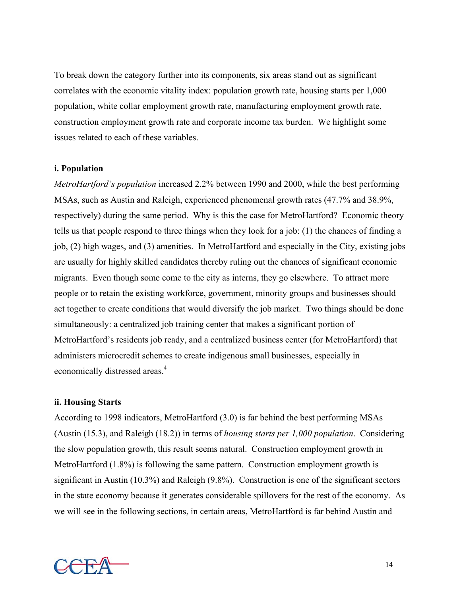To break down the category further into its components, six areas stand out as significant correlates with the economic vitality index: population growth rate, housing starts per 1,000 population, white collar employment growth rate, manufacturing employment growth rate, construction employment growth rate and corporate income tax burden. We highlight some issues related to each of these variables.

### **i. Population**

*MetroHartford's population* increased 2.2% between 1990 and 2000, while the best performing MSAs, such as Austin and Raleigh, experienced phenomenal growth rates (47.7% and 38.9%, respectively) during the same period. Why is this the case for MetroHartford? Economic theory tells us that people respond to three things when they look for a job: (1) the chances of finding a job, (2) high wages, and (3) amenities. In MetroHartford and especially in the City, existing jobs are usually for highly skilled candidates thereby ruling out the chances of significant economic migrants. Even though some come to the city as interns, they go elsewhere. To attract more people or to retain the existing workforce, government, minority groups and businesses should act together to create conditions that would diversify the job market. Two things should be done simultaneously: a centralized job training center that makes a significant portion of MetroHartford's residents job ready, and a centralized business center (for MetroHartford) that administers microcredit schemes to create indigenous small businesses, especially in economically distressed areas.<sup>[4](#page-44-3)</sup>

### **ii. Housing Starts**

According to 1998 indicators, MetroHartford (3.0) is far behind the best performing MSAs (Austin (15.3), and Raleigh (18.2)) in terms of *housing starts per 1,000 population*. Considering the slow population growth, this result seems natural. Construction employment growth in MetroHartford (1.8%) is following the same pattern. Construction employment growth is significant in Austin (10.3%) and Raleigh (9.8%). Construction is one of the significant sectors in the state economy because it generates considerable spillovers for the rest of the economy. As we will see in the following sections, in certain areas, MetroHartford is far behind Austin and

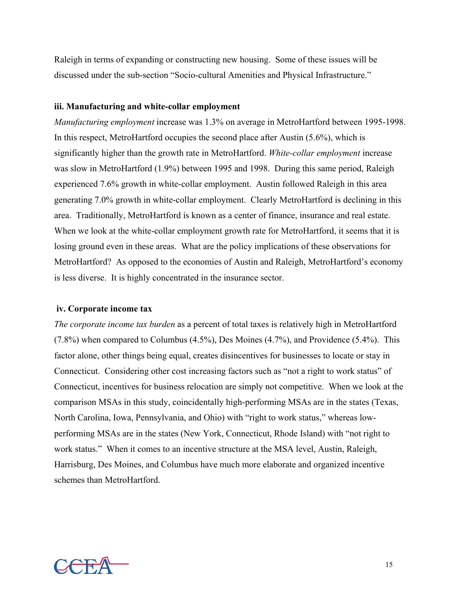Raleigh in terms of expanding or constructing new housing. Some of these issues will be discussed under the sub-section "Socio-cultural Amenities and Physical Infrastructure."

### **iii. Manufacturing and white-collar employment**

*Manufacturing employment* increase was 1.3% on average in MetroHartford between 1995-1998. In this respect, MetroHartford occupies the second place after Austin (5.6%), which is significantly higher than the growth rate in MetroHartford. *White-collar employment* increase was slow in MetroHartford (1.9%) between 1995 and 1998. During this same period, Raleigh experienced 7.6% growth in white-collar employment. Austin followed Raleigh in this area generating 7.0% growth in white-collar employment. Clearly MetroHartford is declining in this area. Traditionally, MetroHartford is known as a center of finance, insurance and real estate. When we look at the white-collar employment growth rate for MetroHartford, it seems that it is losing ground even in these areas. What are the policy implications of these observations for MetroHartford? As opposed to the economies of Austin and Raleigh, MetroHartford's economy is less diverse. It is highly concentrated in the insurance sector.

### **iv. Corporate income tax**

*The corporate income tax burden* as a percent of total taxes is relatively high in MetroHartford (7.8%) when compared to Columbus (4.5%), Des Moines (4.7%), and Providence (5.4%). This factor alone, other things being equal, creates disincentives for businesses to locate or stay in Connecticut. Considering other cost increasing factors such as "not a right to work status" of Connecticut, incentives for business relocation are simply not competitive. When we look at the comparison MSAs in this study, coincidentally high-performing MSAs are in the states (Texas, North Carolina, Iowa, Pennsylvania, and Ohio) with "right to work status," whereas lowperforming MSAs are in the states (New York, Connecticut, Rhode Island) with "not right to work status." When it comes to an incentive structure at the MSA level, Austin, Raleigh, Harrisburg, Des Moines, and Columbus have much more elaborate and organized incentive schemes than MetroHartford.

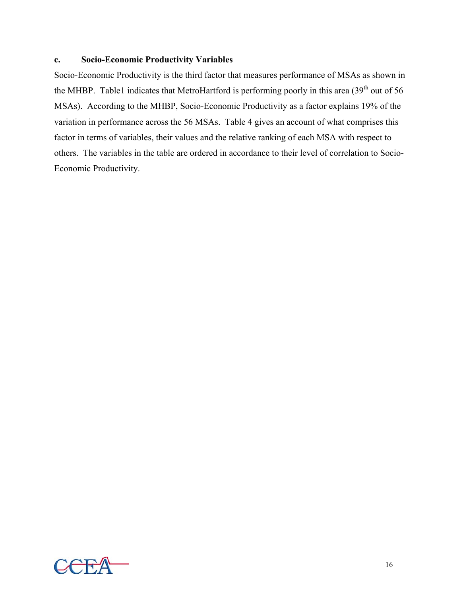# **c. Socio-Economic Productivity Variables**

Socio-Economic Productivity is the third factor that measures performance of MSAs as shown in the MHBP. Table1 indicates that MetroHartford is performing poorly in this area (39<sup>th</sup> out of 56 MSAs). According to the MHBP, Socio-Economic Productivity as a factor explains 19% of the variation in performance across the 56 MSAs. Table 4 gives an account of what comprises this factor in terms of variables, their values and the relative ranking of each MSA with respect to others. The variables in the table are ordered in accordance to their level of correlation to Socio-Economic Productivity.

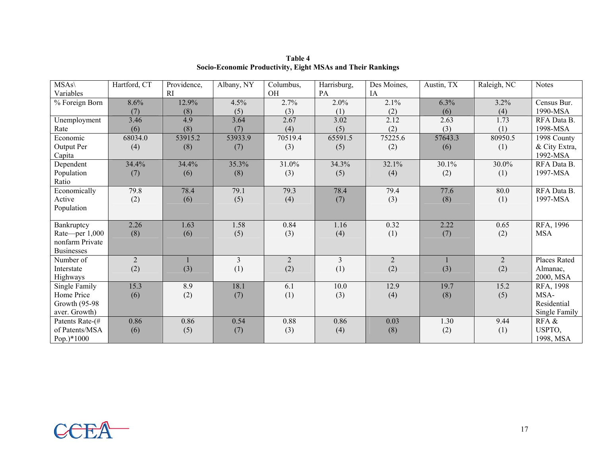| $MSAs\wedge$      | Hartford, CT   | Providence, | Albany, NY     | Columbus,      | Harrisburg,    | Des Moines,    | Austin, TX | Raleigh, NC    | <b>Notes</b>        |
|-------------------|----------------|-------------|----------------|----------------|----------------|----------------|------------|----------------|---------------------|
| Variables         |                | <b>RI</b>   |                | OH             | PA             | IA             |            |                |                     |
| % Foreign Born    | 8.6%           | 12.9%       | 4.5%           | 2.7%           | 2.0%           | 2.1%           | 6.3%       | 3.2%           | Census Bur.         |
|                   | (7)            | (8)         | (5)            | (3)            | (1)            | (2)            | (6)        | (4)            | 1990-MSA            |
| Unemployment      | 3.46           | 4.9         | 3.64           | 2.67           | 3.02           | 2.12           | 2.63       | 1.73           | RFA Data B.         |
| Rate              | (6)            | (8)         | (7)            | (4)            | (5)            | (2)            | (3)        | (1)            | 1998-MSA            |
| Economic          | 68034.0        | 53915.2     | 53933.9        | 70519.4        | 65591.5        | 75225.6        | 57643.3    | 80950.5        | 1998 County         |
| Output Per        | (4)            | (8)         | (7)            | (3)            | (5)            | (2)            | (6)        | (1)            | & City Extra,       |
| Capita            |                |             |                |                |                |                |            |                | 1992-MSA            |
| Dependent         | 34.4%          | 34.4%       | 35.3%          | 31.0%          | 34.3%          | 32.1%          | 30.1%      | 30.0%          | RFA Data B.         |
| Population        | (7)            | (6)         | (8)            | (3)            | (5)            | (4)            | (2)        | (1)            | 1997-MSA            |
| Ratio             |                |             |                |                |                |                |            |                |                     |
| Economically      | 79.8           | 78.4        | 79.1           | 79.3           | 78.4           | 79.4           | 77.6       | 80.0           | RFA Data B.         |
| Active            | (2)            | (6)         | (5)            | (4)            | (7)            | (3)            | (8)        | (1)            | 1997-MSA            |
| Population        |                |             |                |                |                |                |            |                |                     |
|                   |                |             |                |                |                |                |            |                |                     |
| Bankruptcy        | 2.26           | 1.63        | 1.58           | 0.84           | 1.16           | 0.32           | 2.22       | 0.65           | RFA, 1996           |
| Rate-per 1,000    | (8)            | (6)         | (5)            | (3)            | (4)            | (1)            | (7)        | (2)            | <b>MSA</b>          |
| nonfarm Private   |                |             |                |                |                |                |            |                |                     |
| <b>Businesses</b> |                |             |                |                |                |                |            |                |                     |
| Number of         | $\overline{2}$ |             | $\overline{3}$ | $\overline{2}$ | $\mathfrak{Z}$ | $\overline{2}$ |            | $\overline{2}$ | <b>Places Rated</b> |
| Interstate        | (2)            | (3)         | (1)            | (2)            | (1)            | (2)            | (3)        | (2)            | Almanac,            |
| Highways          |                |             |                |                |                |                |            |                | 2000, MSA           |
| Single Family     | 15.3           | 8.9         | 18.1           | 6.1            | 10.0           | 12.9           | 19.7       | 15.2           | RFA, 1998           |
| Home Price        | (6)            | (2)         | (7)            | (1)            | (3)            | (4)            | (8)        | (5)            | MSA-                |
| Growth (95-98)    |                |             |                |                |                |                |            |                | Residential         |
| aver. Growth)     |                |             |                |                |                |                |            |                | Single Family       |
| Patents Rate-(#   | 0.86           | 0.86        | 0.54           | 0.88           | 0.86           | 0.03           | 1.30       | 9.44           | RFA &               |
| of Patents/MSA    | (6)            | (5)         | (7)            | (3)            | (4)            | (8)            | (2)        | (1)            | USPTO,              |
| Pop.)*1000        |                |             |                |                |                |                |            |                | 1998, MSA           |

**Table 4Socio-Economic Productivity, Eight MSAs and Their Rankings**

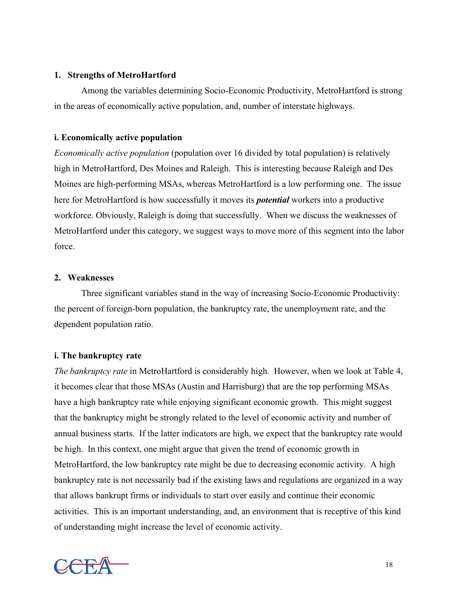# **1. Strengths of MetroHartford**

Among the variables determining Socio-Economic Productivity, MetroHartford is strong in the areas of economically active population, and, number of interstate highways.

# **i. Economically active population**

*Economically active population* (population over 16 divided by total population) is relatively high in MetroHartford, Des Moines and Raleigh. This is interesting because Raleigh and Des Moines are high-performing MSAs, whereas MetroHartford is a low performing one. The issue here for MetroHartford is how successfully it moves its *potential* workers into a productive workforce. Obviously, Raleigh is doing that successfully. When we discuss the weaknesses of MetroHartford under this category, we suggest ways to move more of this segment into the labor force.

# **2. Weaknesses**

Three significant variables stand in the way of increasing Socio-Economic Productivity: the percent of foreign-born population, the bankruptcy rate, the unemployment rate, and the dependent population ratio.

# **i. The bankruptcy rate**

*The bankruptcy rate* in MetroHartford is considerably high. However, when we look at Table 4, it becomes clear that those MSAs (Austin and Harrisburg) that are the top performing MSAs have a high bankruptcy rate while enjoying significant economic growth. This might suggest that the bankruptcy might be strongly related to the level of economic activity and number of annual business starts. If the latter indicators are high, we expect that the bankruptcy rate would be high. In this context, one might argue that given the trend of economic growth in MetroHartford, the low bankruptcy rate might be due to decreasing economic activity. A high bankruptcy rate is not necessarily bad if the existing laws and regulations are organized in a way that allows bankrupt firms or individuals to start over easily and continue their economic activities. This is an important understanding, and, an environment that is receptive of this kind of understanding might increase the level of economic activity.

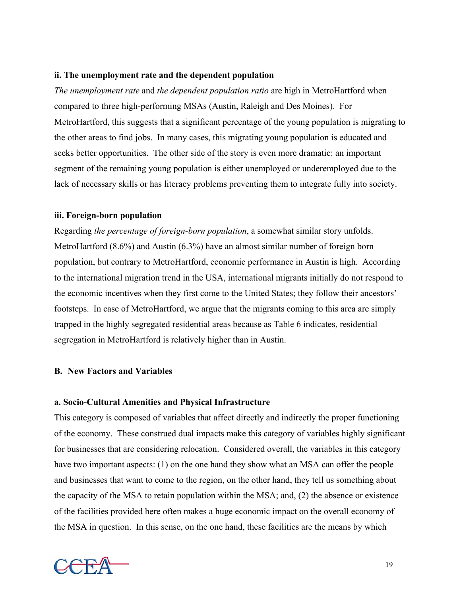# **ii. The unemployment rate and the dependent population**

*The unemployment rate* and *the dependent population ratio* are high in MetroHartford when compared to three high-performing MSAs (Austin, Raleigh and Des Moines). For MetroHartford, this suggests that a significant percentage of the young population is migrating to the other areas to find jobs. In many cases, this migrating young population is educated and seeks better opportunities. The other side of the story is even more dramatic: an important segment of the remaining young population is either unemployed or underemployed due to the lack of necessary skills or has literacy problems preventing them to integrate fully into society.

### **iii. Foreign-born population**

Regarding *the percentage of foreign-born population*, a somewhat similar story unfolds. MetroHartford (8.6%) and Austin (6.3%) have an almost similar number of foreign born population, but contrary to MetroHartford, economic performance in Austin is high. According to the international migration trend in the USA, international migrants initially do not respond to the economic incentives when they first come to the United States; they follow their ancestors' footsteps. In case of MetroHartford, we argue that the migrants coming to this area are simply trapped in the highly segregated residential areas because as Table 6 indicates, residential segregation in MetroHartford is relatively higher than in Austin.

# **B. New Factors and Variables**

# **a. Socio-Cultural Amenities and Physical Infrastructure**

This category is composed of variables that affect directly and indirectly the proper functioning of the economy. These construed dual impacts make this category of variables highly significant for businesses that are considering relocation. Considered overall, the variables in this category have two important aspects: (1) on the one hand they show what an MSA can offer the people and businesses that want to come to the region, on the other hand, they tell us something about the capacity of the MSA to retain population within the MSA; and, (2) the absence or existence of the facilities provided here often makes a huge economic impact on the overall economy of the MSA in question. In this sense, on the one hand, these facilities are the means by which

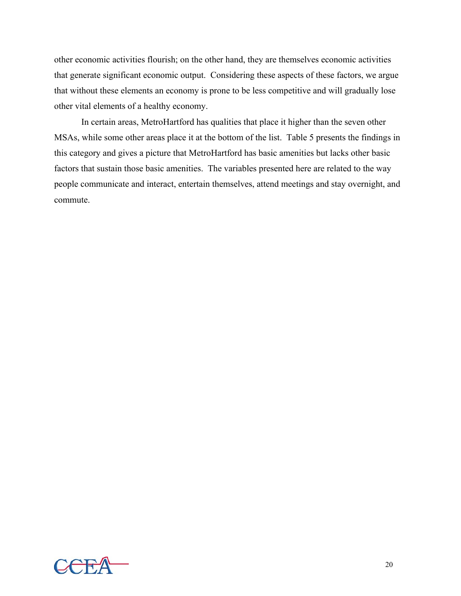other economic activities flourish; on the other hand, they are themselves economic activities that generate significant economic output. Considering these aspects of these factors, we argue that without these elements an economy is prone to be less competitive and will gradually lose other vital elements of a healthy economy.

In certain areas, MetroHartford has qualities that place it higher than the seven other MSAs, while some other areas place it at the bottom of the list. Table 5 presents the findings in this category and gives a picture that MetroHartford has basic amenities but lacks other basic factors that sustain those basic amenities. The variables presented here are related to the way people communicate and interact, entertain themselves, attend meetings and stay overnight, and commute.

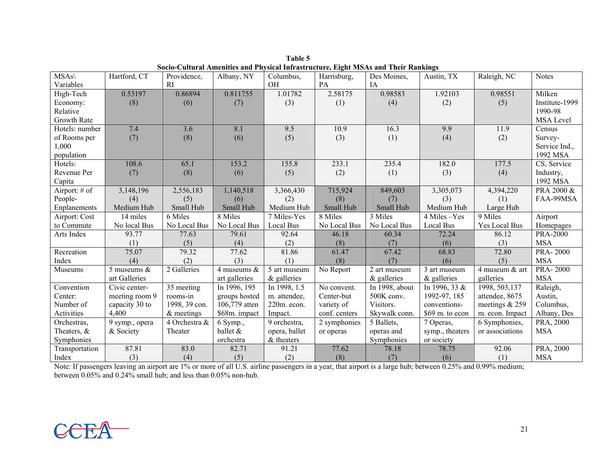| $MSAs\$        | Hartford, CT   | Providence,   | Albany, NY    | Columbus,        | Harrisburg,   | Des Moines,    | Austin, TX       | Raleigh, NC     | <b>Notes</b>                     |
|----------------|----------------|---------------|---------------|------------------|---------------|----------------|------------------|-----------------|----------------------------------|
| Variables      |                | <b>RI</b>     |               | <b>OH</b>        | <b>PA</b>     | <b>IA</b>      |                  |                 |                                  |
| High-Tech      | 0.53197        | 0.86894       | 0.811755      | 1.01782          | 2.58175       | 0.98583        | 1.92103          | 0.98551         | Milken                           |
| Economy:       | (8)            | (6)           | (7)           | (3)              | (1)           | (4)            | (2)              | (5)             | Institute-1999                   |
| Relative       |                |               |               |                  |               |                |                  |                 | 1990-98                          |
| Growth Rate    |                |               |               |                  |               |                |                  |                 | MSA Level                        |
| Hotels: number | 7.4            | 3.6           | 8.1           | 9.5              | 10.9          | 16.3           | 9.9              | 11.9            | Census                           |
| of Rooms per   | (7)            | (8)           | (6)           | (5)              | (3)           | (1)            | (4)              | (2)             | Survey-                          |
| 1,000          |                |               |               |                  |               |                |                  |                 | Service Ind.,                    |
| population     |                |               |               |                  |               |                |                  |                 | 1992 MSA                         |
| Hotels:        | 108.6          | 65.1          | 153.2         | 155.8            | 233.1         | 235.4          | 182.0            | 177.5           | $\overline{\text{CS}}$ , Service |
| Revenue Per    | (7)            | (8)           | (6)           | (5)              | (2)           | (1)            | (3)              | (4)             | Industry,                        |
| Capita         |                |               |               |                  |               |                |                  |                 | 1992 MSA                         |
| Airport: # of  | 3,148,196      | 2,556,183     | 1,140,518     | 3,366,430        | 715,924       | 849,603        | 3,305,073        | 4,394,220       | PRA 2000 &                       |
| People-        | (4)            | (5)           | (6)           | (2)              | (8)           | (7)            | (3)              | (1)             | FAA-99MSA                        |
| Enplanements   | Medium Hub     | Small Hub     | Small Hub     | Medium Hub       | Small Hub     | Small Hub      | Medium Hub       | Large Hub       |                                  |
| Airport: Cost  | 14 miles       | 6 Miles       | 8 Miles       | 7 Miles-Yes      | 8 Miles       | 3 Miles        | 4 Miles-Yes      | 9 Miles         | Airport                          |
| to Commute     | No local Bus   | No Local Bus  | No Local Bus  | <b>Local Bus</b> | No Local Bus  | No Local Bus   | <b>Local Bus</b> | Yes Local Bus   | Homepages                        |
| Arts Index     | 93.77          | 77.63         | 79.61         | 92.64            | 46.18         | 60.34          | 72.24            | 86.12           | <b>PRA-2000</b>                  |
|                | (1)            | (5)           | (4)           | (2)              | (8)           | (7)            | (6)              | (3)             | <b>MSA</b>                       |
| Recreation     | 75.07          | 79.32         | 77.62         | 81.86            | 61.47         | 67.42          | 68.83            | 72.80           | <b>PRA-2000</b>                  |
| Index          | (4)            | (2)           | (3)           | (1)              | (8)           | (7)            | (6)              | (5)             | <b>MSA</b>                       |
| Museums        | 5 museums $\&$ | 2 Galleries   | 4 museums &   | 5 art museum     | No Report     | 2 art museum   | 3 art museum     | 4 museum & art  | <b>PRA-2000</b>                  |
|                | art Galleries  |               | art galleries | $\&$ galleries   |               | $\&$ galleries | $\&$ galleries   | galleries       | <b>MSA</b>                       |
| Convention     | Civic center-  | 35 meeting    | In 1996, 195  | In 1998, 1.5     | No convent.   | In 1998, about | In 1996, 33 &    | 1998, 503, 137  | Raleigh,                         |
| Center:        | meeting room 9 | rooms-in      | groups hosted | m. attendee,     | Center-but    | 500K conv.     | 1992-97, 185     | attendee, 8675  | Austin,                          |
| Number of      | capacity 30 to | 1998, 39 con. | 106,779 atten | 220m. econ.      | variety of    | Visitors.      | conventions-     | meetings & 259  | Columbus,                        |
| Activities     | 4,400          | $&$ meetings  | \$68m. impact | Impact.          | conf. centers | Skywalk conn.  | \$69 m. to econ  | m. econ. Impact | Albany, Des                      |
| Orchestras,    | 9 symp., opera | 4 Orchestra & | 6 Symp.,      | 9 orchestra,     | 2 symphonies  | 5 Ballets,     | 7 Operas,        | 6 Symphonies,   | PRA, 2000                        |
| Theaters, &    | & Society      | Theater       | ballet &      | opera, ballet    | or operas     | operas and     | symp., theaters  | or associations | <b>MSA</b>                       |
| Symphonies     |                |               | orchestra     | & theaters       |               | Symphonies     | or society       |                 |                                  |
| Transportation | 87.81          | 83.0          | 82.71         | 91.21            | 77.62         | 78.18          | 78.75            | 92.06           | PRA, 2000                        |
| Index          | (3)            | (4)           | (5)           | (2)              | (8)           | (7)            | (6)              | (1)             | <b>MSA</b>                       |

**Table 5Socio-Cultural Amenities and Physical Infrastructure, Eight MSAs and Their Rankings**

Note: If passengers leaving an airport are 1% or more of all U.S. airline passengers in a year, that airport is a large hub; between 0.25% and 0.99% medium; between 0.05% and 0.24% small hub; and less than 0.05% non-hub.

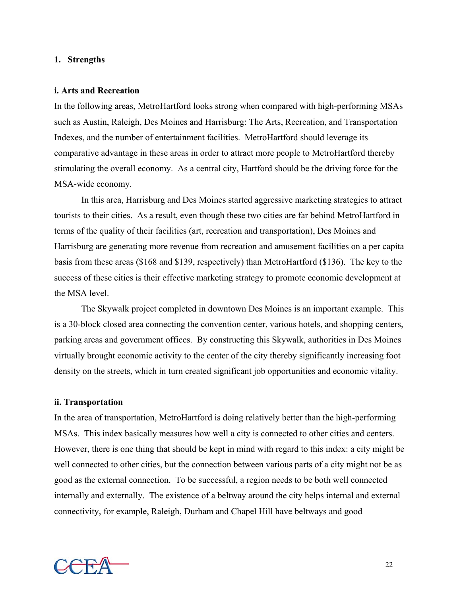### **1. Strengths**

#### **i. Arts and Recreation**

In the following areas, MetroHartford looks strong when compared with high-performing MSAs such as Austin, Raleigh, Des Moines and Harrisburg: The Arts, Recreation, and Transportation Indexes, and the number of entertainment facilities. MetroHartford should leverage its comparative advantage in these areas in order to attract more people to MetroHartford thereby stimulating the overall economy. As a central city, Hartford should be the driving force for the MSA-wide economy.

In this area, Harrisburg and Des Moines started aggressive marketing strategies to attract tourists to their cities. As a result, even though these two cities are far behind MetroHartford in terms of the quality of their facilities (art, recreation and transportation), Des Moines and Harrisburg are generating more revenue from recreation and amusement facilities on a per capita basis from these areas (\$168 and \$139, respectively) than MetroHartford (\$136). The key to the success of these cities is their effective marketing strategy to promote economic development at the MSA level.

The Skywalk project completed in downtown Des Moines is an important example. This is a 30-block closed area connecting the convention center, various hotels, and shopping centers, parking areas and government offices. By constructing this Skywalk, authorities in Des Moines virtually brought economic activity to the center of the city thereby significantly increasing foot density on the streets, which in turn created significant job opportunities and economic vitality.

### **ii. Transportation**

In the area of transportation, MetroHartford is doing relatively better than the high-performing MSAs. This index basically measures how well a city is connected to other cities and centers. However, there is one thing that should be kept in mind with regard to this index: a city might be well connected to other cities, but the connection between various parts of a city might not be as good as the external connection. To be successful, a region needs to be both well connected internally and externally. The existence of a beltway around the city helps internal and external connectivity, for example, Raleigh, Durham and Chapel Hill have beltways and good

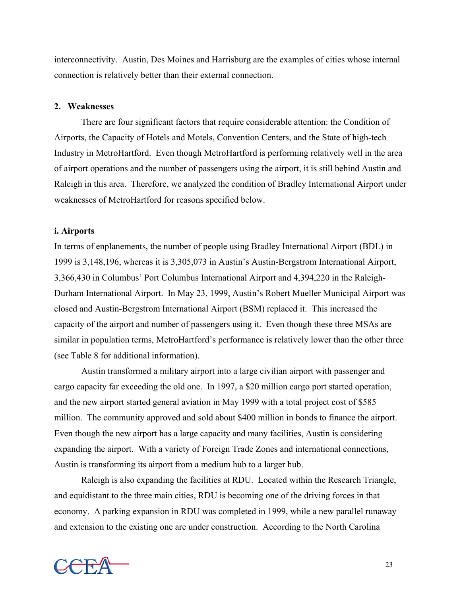interconnectivity. Austin, Des Moines and Harrisburg are the examples of cities whose internal connection is relatively better than their external connection.

### **2. Weaknesses**

There are four significant factors that require considerable attention: the Condition of Airports, the Capacity of Hotels and Motels, Convention Centers, and the State of high-tech Industry in MetroHartford. Even though MetroHartford is performing relatively well in the area of airport operations and the number of passengers using the airport, it is still behind Austin and Raleigh in this area. Therefore, we analyzed the condition of Bradley International Airport under weaknesses of MetroHartford for reasons specified below.

#### **i. Airports**

In terms of enplanements, the number of people using Bradley International Airport (BDL) in 1999 is 3,148,196, whereas it is 3,305,073 in Austin's Austin-Bergstrom International Airport, 3,366,430 in Columbus' Port Columbus International Airport and 4,394,220 in the Raleigh-Durham International Airport. In May 23, 1999, Austin's Robert Mueller Municipal Airport was closed and Austin-Bergstrom International Airport (BSM) replaced it. This increased the capacity of the airport and number of passengers using it. Even though these three MSAs are similar in population terms, MetroHartford's performance is relatively lower than the other three (see Table 8 for additional information).

Austin transformed a military airport into a large civilian airport with passenger and cargo capacity far exceeding the old one. In 1997, a \$20 million cargo port started operation, and the new airport started general aviation in May 1999 with a total project cost of \$585 million. The community approved and sold about \$400 million in bonds to finance the airport. Even though the new airport has a large capacity and many facilities, Austin is considering expanding the airport. With a variety of Foreign Trade Zones and international connections, Austin is transforming its airport from a medium hub to a larger hub.

Raleigh is also expanding the facilities at RDU. Located within the Research Triangle, and equidistant to the three main cities, RDU is becoming one of the driving forces in that economy. A parking expansion in RDU was completed in 1999, while a new parallel runaway and extension to the existing one are under construction. According to the North Carolina

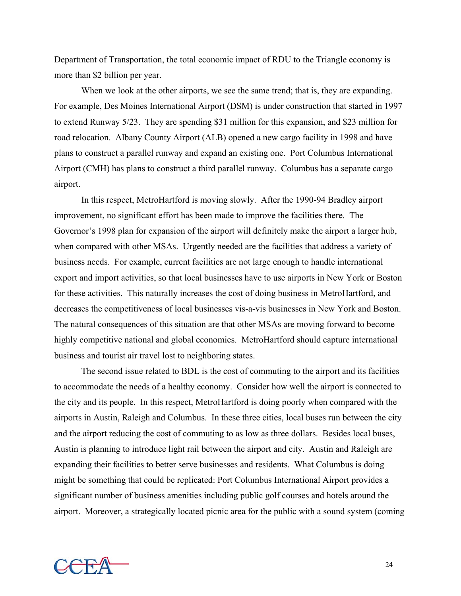Department of Transportation, the total economic impact of RDU to the Triangle economy is more than \$2 billion per year.

When we look at the other airports, we see the same trend; that is, they are expanding. For example, Des Moines International Airport (DSM) is under construction that started in 1997 to extend Runway 5/23. They are spending \$31 million for this expansion, and \$23 million for road relocation. Albany County Airport (ALB) opened a new cargo facility in 1998 and have plans to construct a parallel runway and expand an existing one. Port Columbus International Airport (CMH) has plans to construct a third parallel runway. Columbus has a separate cargo airport.

In this respect, MetroHartford is moving slowly. After the 1990-94 Bradley airport improvement, no significant effort has been made to improve the facilities there. The Governor's 1998 plan for expansion of the airport will definitely make the airport a larger hub, when compared with other MSAs. Urgently needed are the facilities that address a variety of business needs. For example, current facilities are not large enough to handle international export and import activities, so that local businesses have to use airports in New York or Boston for these activities. This naturally increases the cost of doing business in MetroHartford, and decreases the competitiveness of local businesses vis-a-vis businesses in New York and Boston. The natural consequences of this situation are that other MSAs are moving forward to become highly competitive national and global economies. MetroHartford should capture international business and tourist air travel lost to neighboring states.

The second issue related to BDL is the cost of commuting to the airport and its facilities to accommodate the needs of a healthy economy. Consider how well the airport is connected to the city and its people. In this respect, MetroHartford is doing poorly when compared with the airports in Austin, Raleigh and Columbus. In these three cities, local buses run between the city and the airport reducing the cost of commuting to as low as three dollars. Besides local buses, Austin is planning to introduce light rail between the airport and city. Austin and Raleigh are expanding their facilities to better serve businesses and residents. What Columbus is doing might be something that could be replicated: Port Columbus International Airport provides a significant number of business amenities including public golf courses and hotels around the airport. Moreover, a strategically located picnic area for the public with a sound system (coming

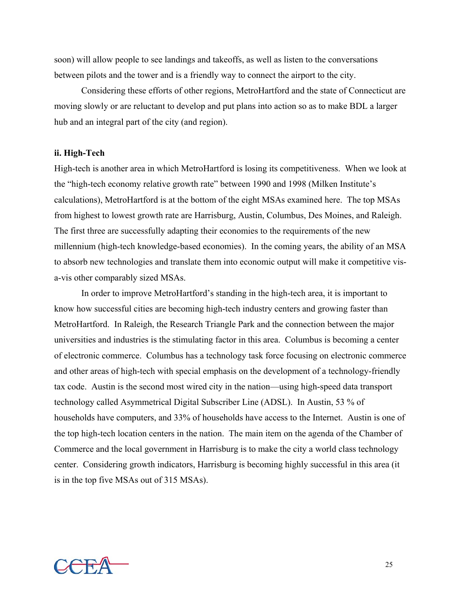soon) will allow people to see landings and takeoffs, as well as listen to the conversations between pilots and the tower and is a friendly way to connect the airport to the city.

Considering these efforts of other regions, MetroHartford and the state of Connecticut are moving slowly or are reluctant to develop and put plans into action so as to make BDL a larger hub and an integral part of the city (and region).

### **ii. High-Tech**

High-tech is another area in which MetroHartford is losing its competitiveness. When we look at the "high-tech economy relative growth rate" between 1990 and 1998 (Milken Institute's calculations), MetroHartford is at the bottom of the eight MSAs examined here. The top MSAs from highest to lowest growth rate are Harrisburg, Austin, Columbus, Des Moines, and Raleigh. The first three are successfully adapting their economies to the requirements of the new millennium (high-tech knowledge-based economies). In the coming years, the ability of an MSA to absorb new technologies and translate them into economic output will make it competitive visa-vis other comparably sized MSAs.

In order to improve MetroHartford's standing in the high-tech area, it is important to know how successful cities are becoming high-tech industry centers and growing faster than MetroHartford. In Raleigh, the Research Triangle Park and the connection between the major universities and industries is the stimulating factor in this area. Columbus is becoming a center of electronic commerce. Columbus has a technology task force focusing on electronic commerce and other areas of high-tech with special emphasis on the development of a technology-friendly tax code. Austin is the second most wired city in the nation—using high-speed data transport technology called Asymmetrical Digital Subscriber Line (ADSL). In Austin, 53 % of households have computers, and 33% of households have access to the Internet. Austin is one of the top high-tech location centers in the nation. The main item on the agenda of the Chamber of Commerce and the local government in Harrisburg is to make the city a world class technology center. Considering growth indicators, Harrisburg is becoming highly successful in this area (it is in the top five MSAs out of 315 MSAs).

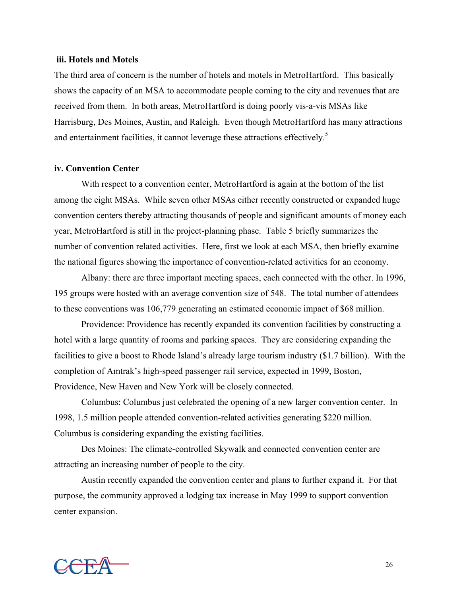### **iii. Hotels and Motels**

The third area of concern is the number of hotels and motels in MetroHartford. This basically shows the capacity of an MSA to accommodate people coming to the city and revenues that are received from them. In both areas, MetroHartford is doing poorly vis-a-vis MSAs like Harrisburg, Des Moines, Austin, and Raleigh. Even though MetroHartford has many attractions and entertainment facilities, it cannot leverage these attractions effectively.<sup>[5](#page-44-4)</sup>

#### **iv. Convention Center**

With respect to a convention center, MetroHartford is again at the bottom of the list among the eight MSAs. While seven other MSAs either recently constructed or expanded huge convention centers thereby attracting thousands of people and significant amounts of money each year, MetroHartford is still in the project-planning phase. Table 5 briefly summarizes the number of convention related activities. Here, first we look at each MSA, then briefly examine the national figures showing the importance of convention-related activities for an economy.

Albany: there are three important meeting spaces, each connected with the other. In 1996, 195 groups were hosted with an average convention size of 548. The total number of attendees to these conventions was 106,779 generating an estimated economic impact of \$68 million.

Providence: Providence has recently expanded its convention facilities by constructing a hotel with a large quantity of rooms and parking spaces. They are considering expanding the facilities to give a boost to Rhode Island's already large tourism industry (\$1.7 billion). With the completion of Amtrak's high-speed passenger rail service, expected in 1999, Boston, Providence, New Haven and New York will be closely connected.

Columbus: Columbus just celebrated the opening of a new larger convention center. In 1998, 1.5 million people attended convention-related activities generating \$220 million. Columbus is considering expanding the existing facilities.

Des Moines: The climate-controlled Skywalk and connected convention center are attracting an increasing number of people to the city.

Austin recently expanded the convention center and plans to further expand it. For that purpose, the community approved a lodging tax increase in May 1999 to support convention center expansion.

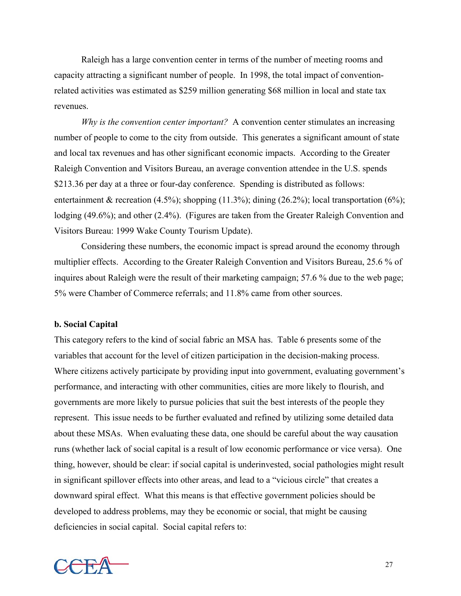Raleigh has a large convention center in terms of the number of meeting rooms and capacity attracting a significant number of people. In 1998, the total impact of conventionrelated activities was estimated as \$259 million generating \$68 million in local and state tax revenues.

*Why is the convention center important?* A convention center stimulates an increasing number of people to come to the city from outside. This generates a significant amount of state and local tax revenues and has other significant economic impacts. According to the Greater Raleigh Convention and Visitors Bureau, an average convention attendee in the U.S. spends \$213.36 per day at a three or four-day conference. Spending is distributed as follows: entertainment & recreation (4.5%); shopping (11.3%); dining (26.2%); local transportation (6%); lodging (49.6%); and other (2.4%). (Figures are taken from the Greater Raleigh Convention and Visitors Bureau: 1999 Wake County Tourism Update).

Considering these numbers, the economic impact is spread around the economy through multiplier effects. According to the Greater Raleigh Convention and Visitors Bureau, 25.6 % of inquires about Raleigh were the result of their marketing campaign; 57.6 % due to the web page; 5% were Chamber of Commerce referrals; and 11.8% came from other sources.

### **b. Social Capital**

This category refers to the kind of social fabric an MSA has. Table 6 presents some of the variables that account for the level of citizen participation in the decision-making process. Where citizens actively participate by providing input into government, evaluating government's performance, and interacting with other communities, cities are more likely to flourish, and governments are more likely to pursue policies that suit the best interests of the people they represent. This issue needs to be further evaluated and refined by utilizing some detailed data about these MSAs. When evaluating these data, one should be careful about the way causation runs (whether lack of social capital is a result of low economic performance or vice versa). One thing, however, should be clear: if social capital is underinvested, social pathologies might result in significant spillover effects into other areas, and lead to a "vicious circle" that creates a downward spiral effect. What this means is that effective government policies should be developed to address problems, may they be economic or social, that might be causing deficiencies in social capital. Social capital refers to:

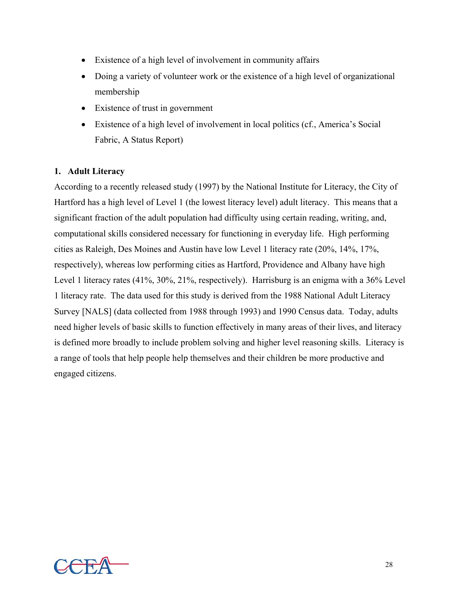- Existence of a high level of involvement in community affairs
- Doing a variety of volunteer work or the existence of a high level of organizational membership
- Existence of trust in government
- Existence of a high level of involvement in local politics (cf., America's Social Fabric, A Status Report)

# **1. Adult Literacy**

According to a recently released study (1997) by the National Institute for Literacy, the City of Hartford has a high level of Level 1 (the lowest literacy level) adult literacy. This means that a significant fraction of the adult population had difficulty using certain reading, writing, and, computational skills considered necessary for functioning in everyday life. High performing cities as Raleigh, Des Moines and Austin have low Level 1 literacy rate (20%, 14%, 17%, respectively), whereas low performing cities as Hartford, Providence and Albany have high Level 1 literacy rates (41%, 30%, 21%, respectively). Harrisburg is an enigma with a 36% Level 1 literacy rate. The data used for this study is derived from the 1988 National Adult Literacy Survey [NALS] (data collected from 1988 through 1993) and 1990 Census data. Today, adults need higher levels of basic skills to function effectively in many areas of their lives, and literacy is defined more broadly to include problem solving and higher level reasoning skills. Literacy is a range of tools that help people help themselves and their children be more productive and engaged citizens.

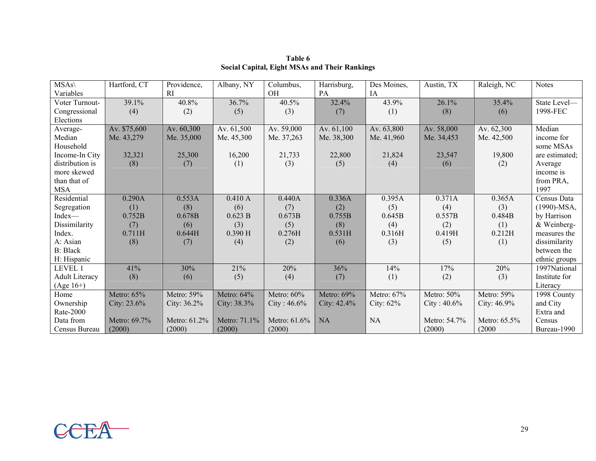| $MSAs\$               | Hartford, CT   | Providence,    | Albany, NY     | Columbus,       | Harrisburg,    | Des Moines,  | Austin, TX     | Raleigh, NC    | <b>Notes</b>   |
|-----------------------|----------------|----------------|----------------|-----------------|----------------|--------------|----------------|----------------|----------------|
| Variables             |                | RI             |                | OH              | PA             | <b>IA</b>    |                |                |                |
| Voter Turnout-        | 39.1%          | 40.8%          | 36.7%          | 40.5%           | 32.4%          | 43.9%        | 26.1%          | 35.4%          | State Level-   |
| Congressional         | (4)            | (2)            | (5)            | (3)             | (7)            | (1)          | (8)            | (6)            | 1998-FEC       |
| Elections             |                |                |                |                 |                |              |                |                |                |
| Average-              | Av. \$75,600   | Av. 60,300     | Av. 61,500     | Av. 59,000      | Av. 61,100     | Av. 63,800   | Av. 58,000     | Av. 62,300     | Median         |
| Median                | Me. 43,279     | Me. 35,000     | Me. 45,300     | Me. 37,263      | Me. 38,300     | Me. 41,960   | Me. 34,453     | Me. 42,500     | income for     |
| Household             |                |                |                |                 |                |              |                |                | some MSAs      |
| Income-In City        | 32,321         | 25,300         | 16,200         | 21,733          | 22,800         | 21,824       | 23,547         | 19,800         | are estimated; |
| distribution is       | (8)            | (7)            | (1)            | (3)             | (5)            | (4)          | (6)            | (2)            | Average        |
| more skewed           |                |                |                |                 |                |              |                |                | income is      |
| than that of          |                |                |                |                 |                |              |                |                | from PRA,      |
| <b>MSA</b>            |                |                |                |                 |                |              |                |                | 1997           |
| Residential           | 0.290A         | 0.553A         | 0.410A         | 0.440A          | 0.336A         | 0.395A       | 0.371A         | 0.365A         | Census Data    |
| Segregation           | (1)            | (8)            | (6)            | (7)             | (2)            | (5)          | (4)            | (3)            | $(1990)$ -MSA, |
| Index-                | 0.752B         | 0.678B         | 0.623 B        | 0.673B          | 0.755B         | 0.645B       | 0.557B         | 0.484B         | by Harrison    |
| Dissimilarity         | (7)            | (6)            | (3)            | (5)             | (8)            | (4)          | (2)            | (1)            | & Weinberg-    |
| Index.                | 0.711H         | 0.644H         | $0.390$ H      | 0.276H          | 0.531H         | 0.316H       | 0.419H         | 0.212H         | measures the   |
| A: Asian              | (8)            | (7)            | (4)            | (2)             | (6)            | (3)          | (5)            | (1)            | dissimilarity  |
| <b>B</b> : Black      |                |                |                |                 |                |              |                |                | between the    |
| H: Hispanic           |                |                |                |                 |                |              |                |                | ethnic groups  |
| LEVEL 1               | 41%            | 30%            | 21%            | 20%             | 36%            | 14%          | 17%            | 20%            | 1997National   |
| <b>Adult Literacy</b> | (8)            | (6)            | (5)            | (4)             | (7)            | (1)          | (2)            | (3)            | Institute for  |
| $(Age 16+)$           |                |                |                |                 |                |              |                |                | Literacy       |
| Home                  | Metro: 65%     | Metro: 59%     | Metro: 64%     | Metro: 60%      | Metro: 69%     | Metro: 67%   | Metro: 50%     | Metro: 59%     | 1998 County    |
| Ownership             | City: $23.6\%$ | City: $36.2\%$ | City: $38.3\%$ | City: $46.6%$   | City: $42.4\%$ | City: $62\%$ | City: $40.6\%$ | City: $46.9\%$ | and City       |
| Rate-2000             |                |                |                |                 |                |              |                |                | Extra and      |
| Data from             | Metro: 69.7%   | Metro: 61.2%   | Metro: 71.1%   | Metro: $61.6\%$ | <b>NA</b>      | <b>NA</b>    | Metro: 54.7%   | Metro: 65.5%   | Census         |
| Census Bureau         | (2000)         | (2000)         | (2000)         | (2000)          |                |              | (2000)         | (2000)         | Bureau-1990    |

**Table 6Social Capital, Eight MSAs and Their Rankings**

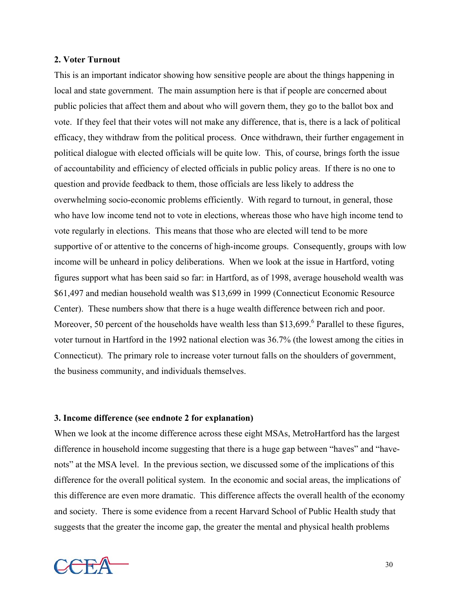### **2. Voter Turnout**

This is an important indicator showing how sensitive people are about the things happening in local and state government. The main assumption here is that if people are concerned about public policies that affect them and about who will govern them, they go to the ballot box and vote. If they feel that their votes will not make any difference, that is, there is a lack of political efficacy, they withdraw from the political process. Once withdrawn, their further engagement in political dialogue with elected officials will be quite low. This, of course, brings forth the issue of accountability and efficiency of elected officials in public policy areas. If there is no one to question and provide feedback to them, those officials are less likely to address the overwhelming socio-economic problems efficiently. With regard to turnout, in general, those who have low income tend not to vote in elections, whereas those who have high income tend to vote regularly in elections. This means that those who are elected will tend to be more supportive of or attentive to the concerns of high-income groups. Consequently, groups with low income will be unheard in policy deliberations. When we look at the issue in Hartford, voting figures support what has been said so far: in Hartford, as of 1998, average household wealth was \$61,497 and median household wealth was \$13,699 in 1999 (Connecticut Economic Resource Center). These numbers show that there is a huge wealth difference between rich and poor. Moreover, 50 percent of the households have wealth less than \$13,[6](#page-44-5)99. $<sup>6</sup>$  Parallel to these figures,</sup> voter turnout in Hartford in the 1992 national election was 36.7% (the lowest among the cities in Connecticut). The primary role to increase voter turnout falls on the shoulders of government, the business community, and individuals themselves.

# **3. Income difference (see endnote 2 for explanation)**

When we look at the income difference across these eight MSAs, MetroHartford has the largest difference in household income suggesting that there is a huge gap between "haves" and "havenots" at the MSA level. In the previous section, we discussed some of the implications of this difference for the overall political system. In the economic and social areas, the implications of this difference are even more dramatic. This difference affects the overall health of the economy and society. There is some evidence from a recent Harvard School of Public Health study that suggests that the greater the income gap, the greater the mental and physical health problems

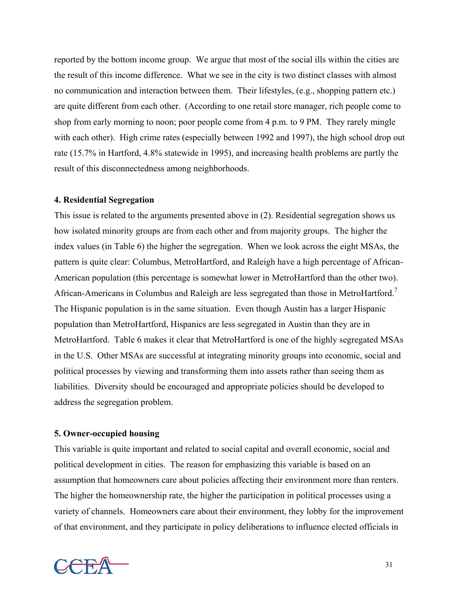reported by the bottom income group. We argue that most of the social ills within the cities are the result of this income difference. What we see in the city is two distinct classes with almost no communication and interaction between them. Their lifestyles, (e.g., shopping pattern etc.) are quite different from each other. (According to one retail store manager, rich people come to shop from early morning to noon; poor people come from 4 p.m. to 9 PM. They rarely mingle with each other). High crime rates (especially between 1992 and 1997), the high school drop out rate (15.7% in Hartford, 4.8% statewide in 1995), and increasing health problems are partly the result of this disconnectedness among neighborhoods.

# **4. Residential Segregation**

This issue is related to the arguments presented above in (2). Residential segregation shows us how isolated minority groups are from each other and from majority groups. The higher the index values (in Table 6) the higher the segregation. When we look across the eight MSAs, the pattern is quite clear: Columbus, MetroHartford, and Raleigh have a high percentage of African-American population (this percentage is somewhat lower in MetroHartford than the other two). African-Americans in Columbus and Raleigh are less segregated than those in MetroHartford.<sup>[7](#page-44-6)</sup> The Hispanic population is in the same situation. Even though Austin has a larger Hispanic population than MetroHartford, Hispanics are less segregated in Austin than they are in MetroHartford. Table 6 makes it clear that MetroHartford is one of the highly segregated MSAs in the U.S. Other MSAs are successful at integrating minority groups into economic, social and political processes by viewing and transforming them into assets rather than seeing them as liabilities. Diversity should be encouraged and appropriate policies should be developed to address the segregation problem.

### **5. Owner-occupied housing**

This variable is quite important and related to social capital and overall economic, social and political development in cities. The reason for emphasizing this variable is based on an assumption that homeowners care about policies affecting their environment more than renters. The higher the homeownership rate, the higher the participation in political processes using a variety of channels. Homeowners care about their environment, they lobby for the improvement of that environment, and they participate in policy deliberations to influence elected officials in

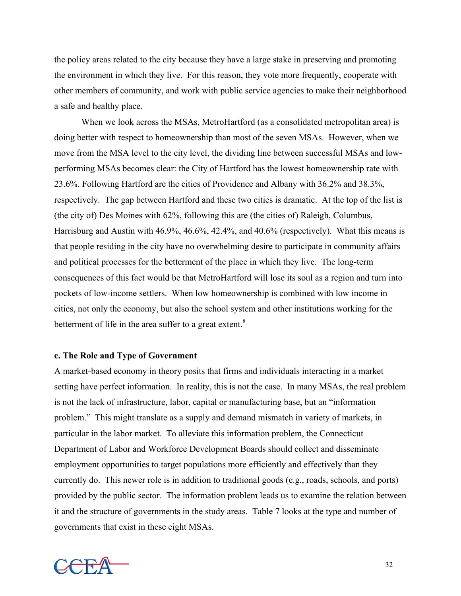the policy areas related to the city because they have a large stake in preserving and promoting the environment in which they live. For this reason, they vote more frequently, cooperate with other members of community, and work with public service agencies to make their neighborhood a safe and healthy place.

When we look across the MSAs, MetroHartford (as a consolidated metropolitan area) is doing better with respect to homeownership than most of the seven MSAs. However, when we move from the MSA level to the city level, the dividing line between successful MSAs and lowperforming MSAs becomes clear: the City of Hartford has the lowest homeownership rate with 23.6%. Following Hartford are the cities of Providence and Albany with 36.2% and 38.3%, respectively. The gap between Hartford and these two cities is dramatic. At the top of the list is (the city of) Des Moines with 62%, following this are (the cities of) Raleigh, Columbus, Harrisburg and Austin with 46.9%, 46.6%, 42.4%, and 40.6% (respectively). What this means is that people residing in the city have no overwhelming desire to participate in community affairs and political processes for the betterment of the place in which they live. The long-term consequences of this fact would be that MetroHartford will lose its soul as a region and turn into pockets of low-income settlers. When low homeownership is combined with low income in cities, not only the economy, but also the school system and other institutions working for the betterment of life in the area suffer to a great extent.<sup>[8](#page-44-7)</sup>

### **c. The Role and Type of Government**

A market-based economy in theory posits that firms and individuals interacting in a market setting have perfect information. In reality, this is not the case. In many MSAs, the real problem is not the lack of infrastructure, labor, capital or manufacturing base, but an "information problem." This might translate as a supply and demand mismatch in variety of markets, in particular in the labor market. To alleviate this information problem, the Connecticut Department of Labor and Workforce Development Boards should collect and disseminate employment opportunities to target populations more efficiently and effectively than they currently do. This newer role is in addition to traditional goods (e.g., roads, schools, and ports) provided by the public sector. The information problem leads us to examine the relation between it and the structure of governments in the study areas. Table 7 looks at the type and number of governments that exist in these eight MSAs.

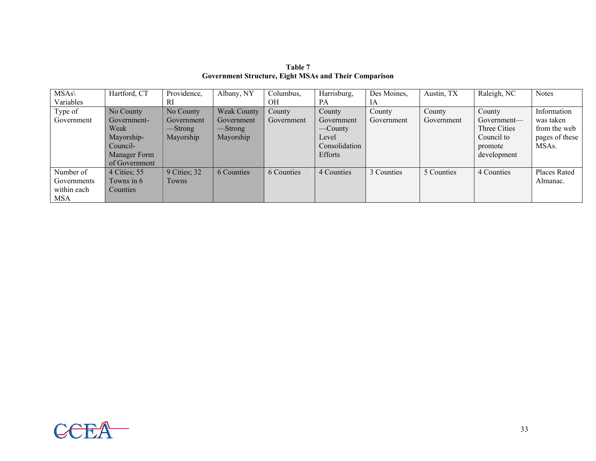| $MSAs\wedge$ | Hartford, CT  | Providence,  | Albany, NY         | Columbus,  | Harrisburg,    | Des Moines, | Austin, TX | Raleigh, NC  | <b>Notes</b>       |
|--------------|---------------|--------------|--------------------|------------|----------------|-------------|------------|--------------|--------------------|
| Variables    |               | RI           |                    | OН         | PA             | 1A          |            |              |                    |
| Type of      | No County     | No County    | <b>Weak County</b> | County     | County         | County      | County     | County       | Information        |
| Government   | Government-   | Government   | Government         | Government | Government     | Government  | Government | Government—  | was taken          |
|              | Weak          | —Strong      | -Strong            |            | —County        |             |            | Three Cities | from the web       |
|              | Mayorship-    | Mayorship    | Mayorship          |            | Level          |             |            | Council to   | pages of these     |
|              | Council-      |              |                    |            | Consolidation  |             |            | promote      | MSA <sub>s</sub> . |
|              | Manager Form  |              |                    |            | <b>Efforts</b> |             |            | development  |                    |
|              | of Government |              |                    |            |                |             |            |              |                    |
| Number of    | 4 Cities; 55  | 9 Cities; 32 | 6 Counties         | 6 Counties | 4 Counties     | 3 Counties  | 5 Counties | 4 Counties   | Places Rated       |
| Governments  | Towns in 6    | Towns        |                    |            |                |             |            |              | Almanac.           |
| within each  | Counties      |              |                    |            |                |             |            |              |                    |
| <b>MSA</b>   |               |              |                    |            |                |             |            |              |                    |

**Table 7 Government Structure, Eight MSAs and Their Comparison**

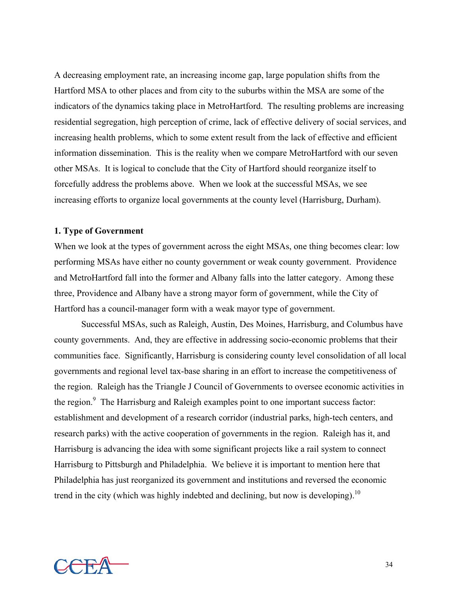A decreasing employment rate, an increasing income gap, large population shifts from the Hartford MSA to other places and from city to the suburbs within the MSA are some of the indicators of the dynamics taking place in MetroHartford. The resulting problems are increasing residential segregation, high perception of crime, lack of effective delivery of social services, and increasing health problems, which to some extent result from the lack of effective and efficient information dissemination. This is the reality when we compare MetroHartford with our seven other MSAs. It is logical to conclude that the City of Hartford should reorganize itself to forcefully address the problems above. When we look at the successful MSAs, we see increasing efforts to organize local governments at the county level (Harrisburg, Durham).

### **1. Type of Government**

When we look at the types of government across the eight MSAs, one thing becomes clear: low performing MSAs have either no county government or weak county government. Providence and MetroHartford fall into the former and Albany falls into the latter category. Among these three, Providence and Albany have a strong mayor form of government, while the City of Hartford has a council-manager form with a weak mayor type of government.

Successful MSAs, such as Raleigh, Austin, Des Moines, Harrisburg, and Columbus have county governments. And, they are effective in addressing socio-economic problems that their communities face. Significantly, Harrisburg is considering county level consolidation of all local governments and regional level tax-base sharing in an effort to increase the competitiveness of the region. Raleigh has the Triangle J Council of Governments to oversee economic activities in the region.<sup>9</sup> The Harrisburg and Raleigh examples point to one important success factor: establishment and development of a research corridor (industrial parks, high-tech centers, and research parks) with the active cooperation of governments in the region. Raleigh has it, and Harrisburg is advancing the idea with some significant projects like a rail system to connect Harrisburg to Pittsburgh and Philadelphia. We believe it is important to mention here that Philadelphia has just reorganized its government and institutions and reversed the economic trend in the city (which was highly indebted and declining, but now is developing).<sup>[10](#page-44-9)</sup>

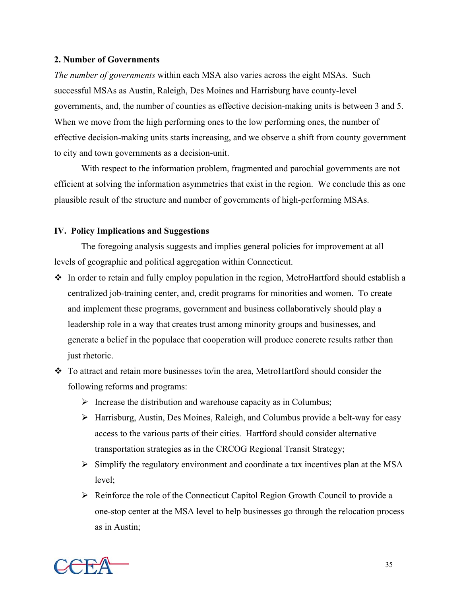# **2. Number of Governments**

*The number of governments* within each MSA also varies across the eight MSAs. Such successful MSAs as Austin, Raleigh, Des Moines and Harrisburg have county-level governments, and, the number of counties as effective decision-making units is between 3 and 5. When we move from the high performing ones to the low performing ones, the number of effective decision-making units starts increasing, and we observe a shift from county government to city and town governments as a decision-unit.

With respect to the information problem, fragmented and parochial governments are not efficient at solving the information asymmetries that exist in the region. We conclude this as one plausible result of the structure and number of governments of high-performing MSAs.

# **IV. Policy Implications and Suggestions**

The foregoing analysis suggests and implies general policies for improvement at all levels of geographic and political aggregation within Connecticut.

- $\cdot$  In order to retain and fully employ population in the region, MetroHartford should establish a centralized job-training center, and, credit programs for minorities and women. To create and implement these programs, government and business collaboratively should play a leadership role in a way that creates trust among minority groups and businesses, and generate a belief in the populace that cooperation will produce concrete results rather than just rhetoric.
- $\div$  To attract and retain more businesses to/in the area, MetroHartford should consider the following reforms and programs:
	- $\triangleright$  Increase the distribution and warehouse capacity as in Columbus;
	- ¾ Harrisburg, Austin, Des Moines, Raleigh, and Columbus provide a belt-way for easy access to the various parts of their cities. Hartford should consider alternative transportation strategies as in the CRCOG Regional Transit Strategy;
	- $\triangleright$  Simplify the regulatory environment and coordinate a tax incentives plan at the MSA level;
	- $\triangleright$  Reinforce the role of the Connecticut Capitol Region Growth Council to provide a one-stop center at the MSA level to help businesses go through the relocation process as in Austin;

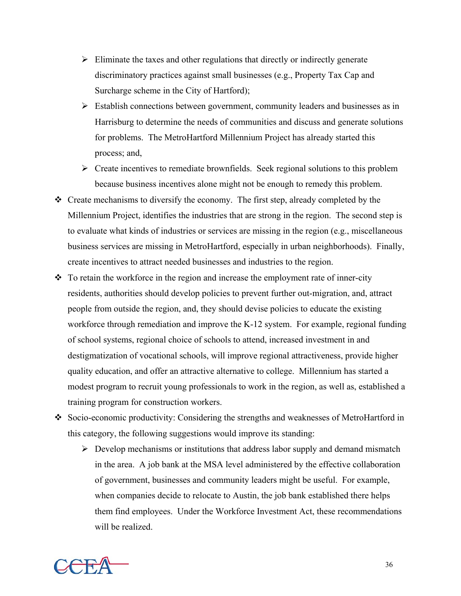- $\triangleright$  Eliminate the taxes and other regulations that directly or indirectly generate discriminatory practices against small businesses (e.g., Property Tax Cap and Surcharge scheme in the City of Hartford);
- $\triangleright$  Establish connections between government, community leaders and businesses as in Harrisburg to determine the needs of communities and discuss and generate solutions for problems. The MetroHartford Millennium Project has already started this process; and,
- $\triangleright$  Create incentives to remediate brownfields. Seek regional solutions to this problem because business incentives alone might not be enough to remedy this problem.
- Create mechanisms to diversify the economy. The first step, already completed by the Millennium Project, identifies the industries that are strong in the region. The second step is to evaluate what kinds of industries or services are missing in the region (e.g., miscellaneous business services are missing in MetroHartford, especially in urban neighborhoods). Finally, create incentives to attract needed businesses and industries to the region.
- $\div$  To retain the workforce in the region and increase the employment rate of inner-city residents, authorities should develop policies to prevent further out-migration, and, attract people from outside the region, and, they should devise policies to educate the existing workforce through remediation and improve the K-12 system. For example, regional funding of school systems, regional choice of schools to attend, increased investment in and destigmatization of vocational schools, will improve regional attractiveness, provide higher quality education, and offer an attractive alternative to college. Millennium has started a modest program to recruit young professionals to work in the region, as well as, established a training program for construction workers.
- Socio-economic productivity: Considering the strengths and weaknesses of MetroHartford in this category, the following suggestions would improve its standing:
	- $\triangleright$  Develop mechanisms or institutions that address labor supply and demand mismatch in the area. A job bank at the MSA level administered by the effective collaboration of government, businesses and community leaders might be useful. For example, when companies decide to relocate to Austin, the job bank established there helps them find employees. Under the Workforce Investment Act, these recommendations will be realized.

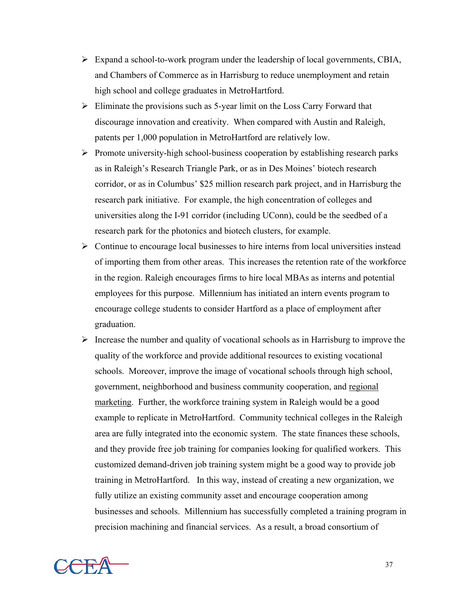- $\triangleright$  Expand a school-to-work program under the leadership of local governments, CBIA, and Chambers of Commerce as in Harrisburg to reduce unemployment and retain high school and college graduates in MetroHartford.
- $\triangleright$  Eliminate the provisions such as 5-year limit on the Loss Carry Forward that discourage innovation and creativity. When compared with Austin and Raleigh, patents per 1,000 population in MetroHartford are relatively low.
- $\triangleright$  Promote university-high school-business cooperation by establishing research parks as in Raleigh's Research Triangle Park, or as in Des Moines' biotech research corridor, or as in Columbus' \$25 million research park project, and in Harrisburg the research park initiative. For example, the high concentration of colleges and universities along the I-91 corridor (including UConn), could be the seedbed of a research park for the photonics and biotech clusters, for example.
- $\triangleright$  Continue to encourage local businesses to hire interns from local universities instead of importing them from other areas. This increases the retention rate of the workforce in the region. Raleigh encourages firms to hire local MBAs as interns and potential employees for this purpose. Millennium has initiated an intern events program to encourage college students to consider Hartford as a place of employment after graduation.
- $\triangleright$  Increase the number and quality of vocational schools as in Harrisburg to improve the quality of the workforce and provide additional resources to existing vocational schools. Moreover, improve the image of vocational schools through high school, government, neighborhood and business community cooperation, and regional marketing. Further, the workforce training system in Raleigh would be a good example to replicate in MetroHartford. Community technical colleges in the Raleigh area are fully integrated into the economic system. The state finances these schools, and they provide free job training for companies looking for qualified workers. This customized demand-driven job training system might be a good way to provide job training in MetroHartford. In this way, instead of creating a new organization, we fully utilize an existing community asset and encourage cooperation among businesses and schools. Millennium has successfully completed a training program in precision machining and financial services. As a result, a broad consortium of

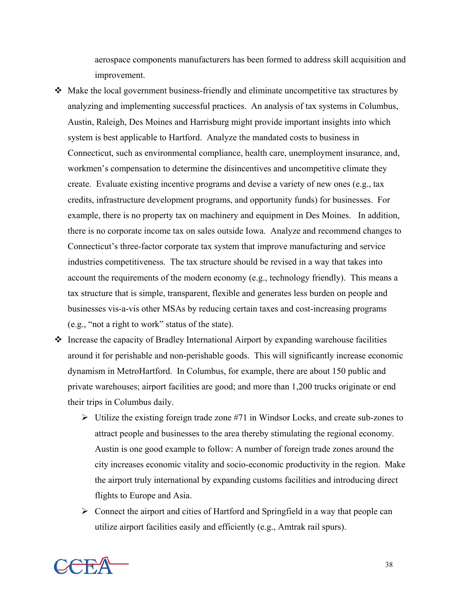aerospace components manufacturers has been formed to address skill acquisition and improvement.

- Make the local government business-friendly and eliminate uncompetitive tax structures by analyzing and implementing successful practices. An analysis of tax systems in Columbus, Austin, Raleigh, Des Moines and Harrisburg might provide important insights into which system is best applicable to Hartford. Analyze the mandated costs to business in Connecticut, such as environmental compliance, health care, unemployment insurance, and, workmen's compensation to determine the disincentives and uncompetitive climate they create. Evaluate existing incentive programs and devise a variety of new ones (e.g., tax credits, infrastructure development programs, and opportunity funds) for businesses. For example, there is no property tax on machinery and equipment in Des Moines. In addition, there is no corporate income tax on sales outside Iowa. Analyze and recommend changes to Connecticut's three-factor corporate tax system that improve manufacturing and service industries competitiveness. The tax structure should be revised in a way that takes into account the requirements of the modern economy  $(e.g., \text{ technology friendly})$ . This means a tax structure that is simple, transparent, flexible and generates less burden on people and businesses vis-a-vis other MSAs by reducing certain taxes and cost-increasing programs (e.g., "not a right to work" status of the state).
- $\triangleleft$  Increase the capacity of Bradley International Airport by expanding warehouse facilities around it for perishable and non-perishable goods. This will significantly increase economic dynamism in MetroHartford. In Columbus, for example, there are about 150 public and private warehouses; airport facilities are good; and more than 1,200 trucks originate or end their trips in Columbus daily.
	- $\triangleright$  Utilize the existing foreign trade zone #71 in Windsor Locks, and create sub-zones to attract people and businesses to the area thereby stimulating the regional economy. Austin is one good example to follow: A number of foreign trade zones around the city increases economic vitality and socio-economic productivity in the region. Make the airport truly international by expanding customs facilities and introducing direct flights to Europe and Asia.
	- $\triangleright$  Connect the airport and cities of Hartford and Springfield in a way that people can utilize airport facilities easily and efficiently (e.g., Amtrak rail spurs).

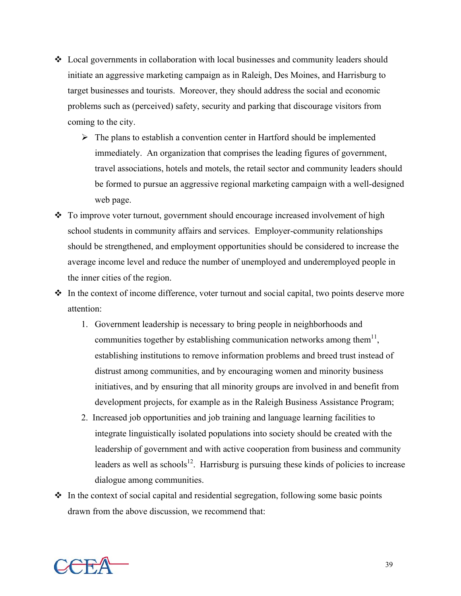- Local governments in collaboration with local businesses and community leaders should initiate an aggressive marketing campaign as in Raleigh, Des Moines, and Harrisburg to target businesses and tourists. Moreover, they should address the social and economic problems such as (perceived) safety, security and parking that discourage visitors from coming to the city.
	- $\triangleright$  The plans to establish a convention center in Hartford should be implemented immediately. An organization that comprises the leading figures of government, travel associations, hotels and motels, the retail sector and community leaders should be formed to pursue an aggressive regional marketing campaign with a well-designed web page.
- To improve voter turnout, government should encourage increased involvement of high school students in community affairs and services. Employer-community relationships should be strengthened, and employment opportunities should be considered to increase the average income level and reduce the number of unemployed and underemployed people in the inner cities of the region.
- $\cdot$  In the context of income difference, voter turnout and social capital, two points deserve more attention:
	- 1. Government leadership is necessary to bring people in neighborhoods and communities together by establishing communication networks among them<sup>11</sup>, establishing institutions to remove information problems and breed trust instead of distrust among communities, and by encouraging women and minority business initiatives, and by ensuring that all minority groups are involved in and benefit from development projects, for example as in the Raleigh Business Assistance Program;
	- 2. Increased job opportunities and job training and language learning facilities to integrate linguistically isolated populations into society should be created with the leadership of government and with active cooperation from business and community leaders as well as schools<sup>12</sup>. Harrisburg is pursuing these kinds of policies to increase dialogue among communities.
- $\cdot$  In the context of social capital and residential segregation, following some basic points drawn from the above discussion, we recommend that:

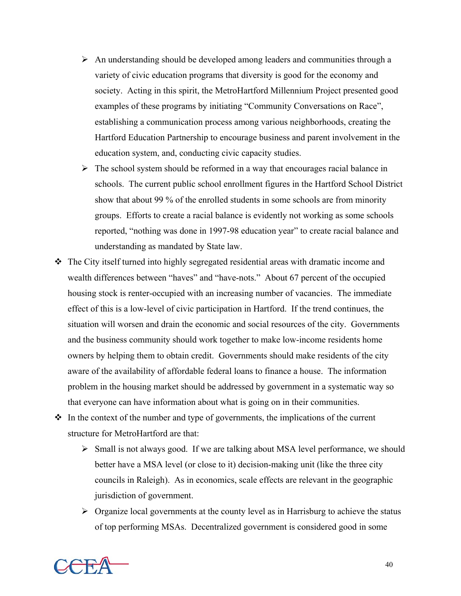- $\triangleright$  An understanding should be developed among leaders and communities through a variety of civic education programs that diversity is good for the economy and society. Acting in this spirit, the MetroHartford Millennium Project presented good examples of these programs by initiating "Community Conversations on Race", establishing a communication process among various neighborhoods, creating the Hartford Education Partnership to encourage business and parent involvement in the education system, and, conducting civic capacity studies.
- $\triangleright$  The school system should be reformed in a way that encourages racial balance in schools. The current public school enrollment figures in the Hartford School District show that about 99 % of the enrolled students in some schools are from minority groups. Efforts to create a racial balance is evidently not working as some schools reported, "nothing was done in 1997-98 education year" to create racial balance and understanding as mandated by State law.
- $\hat{\mathbf{v}}$  The City itself turned into highly segregated residential areas with dramatic income and wealth differences between "haves" and "have-nots." About 67 percent of the occupied housing stock is renter-occupied with an increasing number of vacancies. The immediate effect of this is a low-level of civic participation in Hartford. If the trend continues, the situation will worsen and drain the economic and social resources of the city. Governments and the business community should work together to make low-income residents home owners by helping them to obtain credit. Governments should make residents of the city aware of the availability of affordable federal loans to finance a house. The information problem in the housing market should be addressed by government in a systematic way so that everyone can have information about what is going on in their communities.
- $\cdot \cdot$  In the context of the number and type of governments, the implications of the current structure for MetroHartford are that:
	- $\triangleright$  Small is not always good. If we are talking about MSA level performance, we should better have a MSA level (or close to it) decision-making unit (like the three city councils in Raleigh). As in economics, scale effects are relevant in the geographic jurisdiction of government.
	- $\triangleright$  Organize local governments at the county level as in Harrisburg to achieve the status of top performing MSAs. Decentralized government is considered good in some

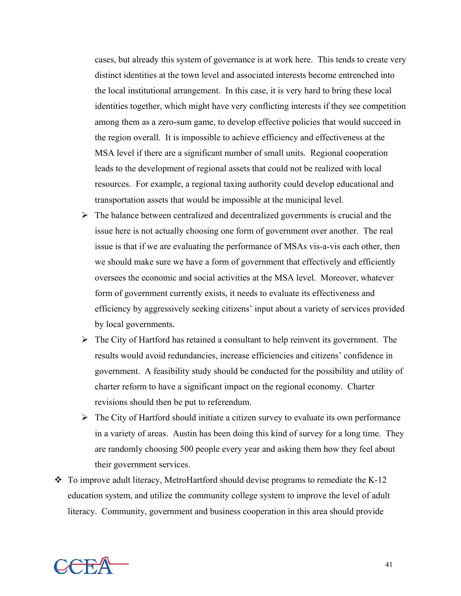cases, but already this system of governance is at work here. This tends to create very distinct identities at the town level and associated interests become entrenched into the local institutional arrangement. In this case, it is very hard to bring these local identities together, which might have very conflicting interests if they see competition among them as a zero-sum game, to develop effective policies that would succeed in the region overall. It is impossible to achieve efficiency and effectiveness at the MSA level if there are a significant number of small units. Regional cooperation leads to the development of regional assets that could not be realized with local resources. For example, a regional taxing authority could develop educational and transportation assets that would be impossible at the municipal level.

- $\triangleright$  The balance between centralized and decentralized governments is crucial and the issue here is not actually choosing one form of government over another. The real issue is that if we are evaluating the performance of MSAs vis-a-vis each other, then we should make sure we have a form of government that effectively and efficiently oversees the economic and social activities at the MSA level. Moreover, whatever form of government currently exists, it needs to evaluate its effectiveness and efficiency by aggressively seeking citizens' input about a variety of services provided by local governments.
- $\triangleright$  The City of Hartford has retained a consultant to help reinvent its government. The results would avoid redundancies, increase efficiencies and citizens' confidence in government. A feasibility study should be conducted for the possibility and utility of charter reform to have a significant impact on the regional economy. Charter revisions should then be put to referendum.
- $\triangleright$  The City of Hartford should initiate a citizen survey to evaluate its own performance in a variety of areas. Austin has been doing this kind of survey for a long time. They are randomly choosing 500 people every year and asking them how they feel about their government services.
- $\cdot \cdot$  To improve adult literacy, MetroHartford should devise programs to remediate the K-12 education system, and utilize the community college system to improve the level of adult literacy. Community, government and business cooperation in this area should provide

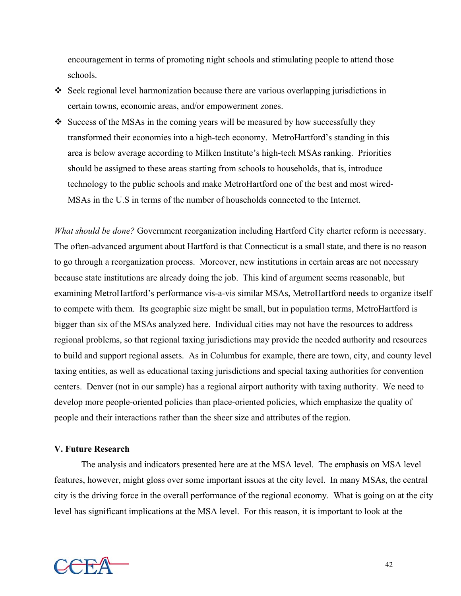encouragement in terms of promoting night schools and stimulating people to attend those schools.

- Seek regional level harmonization because there are various overlapping jurisdictions in certain towns, economic areas, and/or empowerment zones.
- $\bullet$  Success of the MSAs in the coming years will be measured by how successfully they transformed their economies into a high-tech economy. MetroHartford's standing in this area is below average according to Milken Institute's high-tech MSAs ranking. Priorities should be assigned to these areas starting from schools to households, that is, introduce technology to the public schools and make MetroHartford one of the best and most wired-MSAs in the U.S in terms of the number of households connected to the Internet.

*What should be done?* Government reorganization including Hartford City charter reform is necessary. The often-advanced argument about Hartford is that Connecticut is a small state, and there is no reason to go through a reorganization process. Moreover, new institutions in certain areas are not necessary because state institutions are already doing the job. This kind of argument seems reasonable, but examining MetroHartford's performance vis-a-vis similar MSAs, MetroHartford needs to organize itself to compete with them. Its geographic size might be small, but in population terms, MetroHartford is bigger than six of the MSAs analyzed here. Individual cities may not have the resources to address regional problems, so that regional taxing jurisdictions may provide the needed authority and resources to build and support regional assets. As in Columbus for example, there are town, city, and county level taxing entities, as well as educational taxing jurisdictions and special taxing authorities for convention centers. Denver (not in our sample) has a regional airport authority with taxing authority. We need to develop more people-oriented policies than place-oriented policies, which emphasize the quality of people and their interactions rather than the sheer size and attributes of the region.

# **V. Future Research**

The analysis and indicators presented here are at the MSA level. The emphasis on MSA level features, however, might gloss over some important issues at the city level. In many MSAs, the central city is the driving force in the overall performance of the regional economy. What is going on at the city level has significant implications at the MSA level. For this reason, it is important to look at the

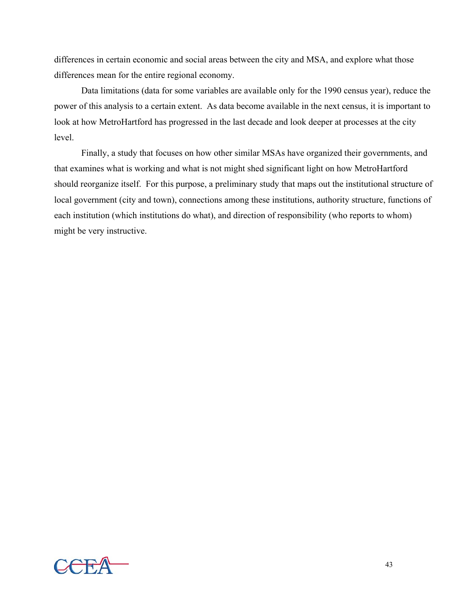differences in certain economic and social areas between the city and MSA, and explore what those differences mean for the entire regional economy.

Data limitations (data for some variables are available only for the 1990 census year), reduce the power of this analysis to a certain extent. As data become available in the next census, it is important to look at how MetroHartford has progressed in the last decade and look deeper at processes at the city level.

Finally, a study that focuses on how other similar MSAs have organized their governments, and that examines what is working and what is not might shed significant light on how MetroHartford should reorganize itself. For this purpose, a preliminary study that maps out the institutional structure of local government (city and town), connections among these institutions, authority structure, functions of each institution (which institutions do what), and direction of responsibility (who reports to whom) might be very instructive.

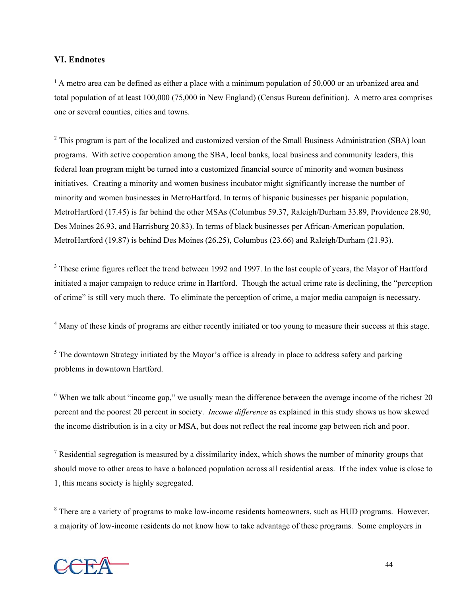### **VI. Endnotes**

<sup>1</sup> A metro area can be defined as either a place with a minimum population of 50,000 or an urbanized area and total population of at least 100,000 (75,000 in New England) (Census Bureau definition). A metro area comprises one or several counties, cities and towns.

 $2$  This program is part of the localized and customized version of the Small Business Administration (SBA) loan programs. With active cooperation among the SBA, local banks, local business and community leaders, this federal loan program might be turned into a customized financial source of minority and women business initiatives. Creating a minority and women business incubator might significantly increase the number of minority and women businesses in MetroHartford. In terms of hispanic businesses per hispanic population, MetroHartford (17.45) is far behind the other MSAs (Columbus 59.37, Raleigh/Durham 33.89, Providence 28.90, Des Moines 26.93, and Harrisburg 20.83). In terms of black businesses per African-American population, MetroHartford (19.87) is behind Des Moines (26.25), Columbus (23.66) and Raleigh/Durham (21.93).

 $3$  These crime figures reflect the trend between 1992 and 1997. In the last couple of years, the Mayor of Hartford initiated a major campaign to reduce crime in Hartford. Though the actual crime rate is declining, the "perception of crime" is still very much there. To eliminate the perception of crime, a major media campaign is necessary.

<sup>4</sup> Many of these kinds of programs are either recently initiated or too young to measure their success at this stage.

 $<sup>5</sup>$  The downtown Strategy initiated by the Mayor's office is already in place to address safety and parking</sup> problems in downtown Hartford.

 $6$  When we talk about "income gap," we usually mean the difference between the average income of the richest 20 percent and the poorest 20 percent in society. *Income difference* as explained in this study shows us how skewed the income distribution is in a city or MSA, but does not reflect the real income gap between rich and poor.

<sup>7</sup> Residential segregation is measured by a dissimilarity index, which shows the number of minority groups that should move to other areas to have a balanced population across all residential areas. If the index value is close to 1, this means society is highly segregated.

<sup>8</sup> There are a variety of programs to make low-income residents homeowners, such as HUD programs. However, a majority of low-income residents do not know how to take advantage of these programs. Some employers in